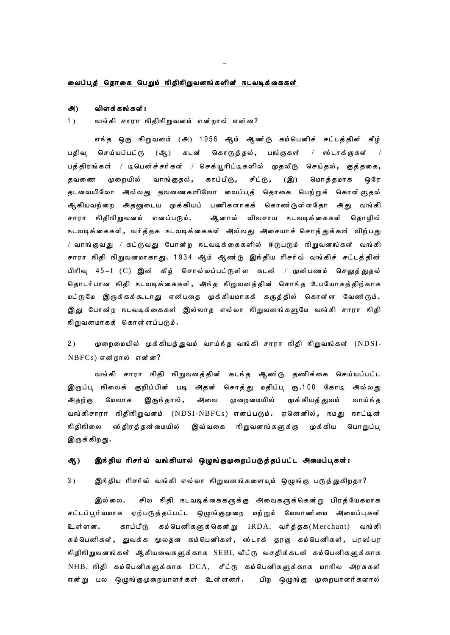### <u>வைப்புத் தொகை பெறும் நிதிநிறுவனங்களின் நடவடிக்கைகள்</u>

### விளக்கங்கள் : அ)

 $1)$ வங்கி சாரா நிதிநிறுவனம் என்றால் என்ன?

எந்த ஒரு நிறுவனம் (அ) 1956 ஆம் ஆண்டு கம்பெனிச் சட்டத்தின் கீழ் பதிவு செய்யப்பட்டு (ஆி) கடன் கொடுத்தல், பங்குகள் / ஸ்டாக்குகள்  $\sqrt{ }$ பத்திரங்கள் / டிபென்ச்சர்கள் / செக்யூரிட்டிகளில் முதலீடு செய்தல், குத்தகை, தவணை முறையில் வாங்குதல் , காப்பீடு, சீட்டு, (இ) மொத்தமாக ஒரே தடவையிலோ அல்லது தவணைகளிலோ வைப்புத் தொகை பெற்றுக் கொள்ளுதல் ஆிகியவற்றை அதனுடைய முக்கியப் பணிகளாகக் கொண'டுள்ளதோ அது வங்கி ஆனால் விவசாய நடவடிக்கைகள் தொழில் சாரா நிதிநிறுவனம் எனப்படும். நடவடிக்கைகள், வர்த்தக நடவடிக்கைகள் அல்லது அசையாச் சொத்துக்கள் விற்பது / வாங்குவது / கட்டுவது போன்ற நடவடிக்கைகளில் ஈடுபடும் நிறுவனங்கள் வங்கி சாரா நிதி நிறுவனமாகாது. 1934 ஆம் ஆண்டு இந்திய ரிசர்வ் வங்கிச் சட்டத்தின் பிரிவு 45–I (C) இன் கீழ் சொல்லப்பட்டுள்ள கடன் / முன்பணம் செலுத்துதல் தொடர்பான நிதி நடவடிக்கைகள், அந்த நிறுவனத்தின் சொந்த உபயோகத்திற்காக மட்டுமே இருக்கக்கூடாது என்பதை முக்கியமாகக் கருத்தில் கொள்ள வேணர்டும். இது போன்ற நடவடிக்கைகள் இல்லாத எல்லா நிறுவனங்களுமே வங்கி சாரா நிதி நிறுவனமாகக் கொள்ளப்படும்.

 $2)$ முறைமையில் முக்கியத்துவம் வாய்ந்த வங்கி சாரா நிதி நிறுவங்கள் (NDSI- $NBFCs)$  என்றால் என்ன?

வங்கி சாரா நிதி நிறுவனத்தின் கடந்த ஆண்டு தணிக்கை செய்யப்பட்ட இருப்பு நிலைக் குறிப்பின் படி அதன் சொத்து மதிப்பு ரூ.100 கோடி அல்லது மேலாக இருந்தால் , அவை முறைமையில் முக்கியத் துவம் அதற்கு வாய்ந் த வங்கிசாரா நிதிநிறுவனம் (NDSI-NBFCs) எனப்படும். ஏனெனில், நமது நாட்டின் நிதிநிலை ஸ்திரத்தன்மையில் இவ்வகை நிறுவனங்களுக்கு முக்கிய பொறுப்பு இருக்கிறது.

### இந்திய ரிசர்வ் வங்கியால் ஒழுங்குமுறைப்படுத்தப்பட்ட அமைப்புகள்: ஆ்)

 $3)$ இந்திய ரிசர்வ் வங்கி எல்லா நிறுவனங்களையும் ஒழுங்கு படுத்துகிறதா?

இல்லை. சில நிதி நடவடிக்கைகளுக்கு அவைகளுக்கென்று பிரத்யேகமாக சட்டப்பூர்வமாக ஏற்படுத்தப்பட்ட ஒழுங்குமுறை மற்றும் மேலாண மை அமைப்புகள் காப்பீடு கம்பெனிகளுக்கென்று IRDA, வர்த்தக(Merchant) வங்கி உள்ளன. கம்பெனிகள், துவக்க மூலதன கம்பெனிகள், ஸ்டாக் தரகு கம்பெனிகள், பரஸ்பர நிதிநிறுவனங்கள் ஆகியவைகளுக்காக SEBI, வீட்டு வசதிக்கடன் கம்பெனிகளுக்காக NHB, நிதி கம்பெனிகளுக்காக DCA, சீட்டு கம்பெனிகளுக்காக மாநில அரசுகள் என்று பல ஒழுங்குமுறையாளர்கள் உள்ளனர். பிற ஒழுங்கு முறையாளர்களால்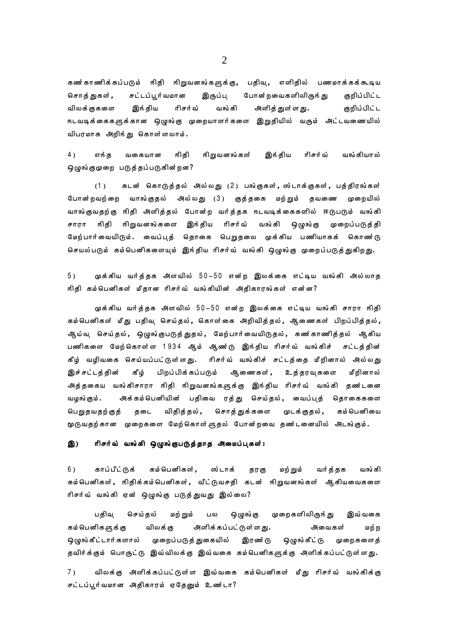கணர்காணிக்கப்படும் நிதி நிறுவனங்களுக்கு, பதிவு, எளிதில் பணமாக்கக்கூடிய சொத்துகள், சட்டப்பூர்வமான இருப்பு போன்றவைகளிலிருந்து குறிப்பிட்ட இந் திய ரிசர்வ் குறிப்பிட்ட விலக் குகளை வங்கி அளித் துள்ளது. நடவடிக்கைகளுக்கான ஒழுங்கு முறையாளர்களை இறுதியில் வரும் அட்டவணையில் விபரமாக அறிந்து கொள்ளலாம்.

 $4)$ எங்த வகையான நிதி நிறுவனங்கள் இந் திய ரிசர்வ் வங்கியால் ஒழுங்குமுறை படுத்தப்படுகின்றன?

கடன் கொடுத்தல் அல்லது (2) பங்குகள், ஸ்டாக்குகள், பத்திரங்கள்  $(1)$ போன்றவற்றை வாங்குதல் அல்லது (3) குத்தகை மற்றும் தவணை முறையில் வாங்குவதற்கு நிதி அளித்தல் போன்ற வர்த்தக நடவடிக்கைகளில் ஈடுபடும் வங்கி சாரா நிதி நிறுவனங்களை இந்திய ரிசர்வ் வங்கி ஒழுங்கு முறைப்படுத்தி மேற்பார்வையிடும். வைப்புத் தொகை பெறுதலை முக்கிய பணியாகக் கொண்டு செயல்படும் கம்பெனிகளையும் இந்திய ரிசர்வ் வங்கி ஒழுங்கு முறைப்படுத்துகிறது.

 $5)$ முக்கிய வர்த்தக அளவில் 50–50 என்ற இலக்கை எட்டிய வங்கி அல்லாத நிதி கம்பெனிகள் மீதான ரிசர்வ் வங்கியின் அதிகாரங்கள் என்ன?

முக்கிய வர்த்தக அளவில் 50–50 என்ற இலக்கை எட்டிய வங்கி சாரா நிதி கம்பெனிகள் மீது பதிவ செய்தல், கொள்கை அறிவித்தல், ஆணைகள் பிறப்பித்தல், ஆய்வு செய்தல், ஒழுங்குபடுத்துதல், மேற்பார்வையிடுதல், கணர்காணித்தல் ஆகிய பணிகளை மேற்கொள்ள 1934 ஆம் ஆண்டு இந்திய ரிசர்வ் வங்கிச் சட்டத்தின் கீழ் வழிவகை செய்யப்பட்டுள்ளது. ரிசர்வ் வங்கிச் சட்டத்தை மீறினால் அல்லது இச்சட்டத்தின் கீழ் பிறப்பிக்கப்படும் ஆணைகள், உத்தரவுகளை மீறினால் அத்தகைய வங்கிசாரா நிதி நிறுவனங்களுக்கு இந்திய ரிசர்வ் வங்கி தண்டனை அக்கம்பெனியின் பதிவை ரத்து செய்தல், வைப்புத் தொகைகளை வழங்கும். பெறுதவதற்குத் தடை விதித்தல் , சொத்துக்களை முடக்குதல் , கம் பெனியை மூடுவதற்கான முறைகளை மேற்கொள்ளுதல் போன்றவை தண்டனையில் அடங்கும்.

### இ) ரிசர்வ் வங்கி ஒழுங்குபடுத்தாத அமைப்புகள்:

6) காப்பீட்டுக் கம் பெனிகள் , ஸ்டாக் தரகு மற் றும் வர்த்தக வங்கி கம்பெனிகள், நிதிக்கம்பெனிகள், வீட்டுவசதி கடன் நிறுவனங்கள் ஆகியவைகளை ரிசர்வ் வங்கி ஏன் ஒழுங்கு படுத்துவது இல்லை?

பதிவு செய்தல் மற் றும் ஒழுங்கு முறைகளிலிருந்து பல இவ்வகை அளிக்கப்பட்டுள்ளது. கம் பெனிகளுக்கு விலக் கு அவைகள் மற் ற ஒழுங்கீட்டார்களால் முறைப்படுத் துகையில் இரணர்டு ஒழுங்கீட்டு முறைகளைத் தவிர்க்கும் பொருட்டு இவ்விலக்கு இவ்வகை கம்பெனிகளுக்கு அளிக்கப்பட்டுள்ளது.

 $7)$ விலக்கு அளிக்கப்பட்டுள்ள இவ்வகை கம்பெனிகள் மீது ரிசர்வ் வங்கிக்கு சட்டப்பூர்வமான அதிகாரம் ஏதேனும் உண்டா?

 $\overline{2}$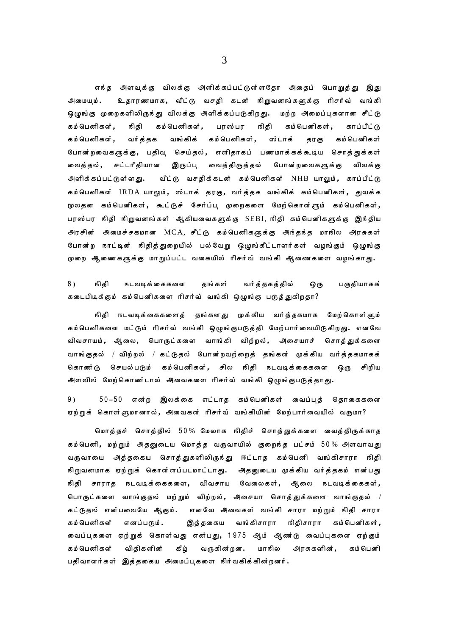எந்த அளவுக்கு விலக்கு அளிக்கப்பட்டுள்ளதோ அதைப் பொறுத்து இது உதாரணமாக, வீட்டு வசதி கடன் நிறுவனங்களுக்கு ரிசர்வ் வங்கி அமையம். ஒழுங்கு முறைகளிலிருந்து விலக்கு அளிக்கப்படுகிறது. மற்ற அமைப்புகளான சீட்டு கம் பெனிகள் , நிதி கம்பெனிகள், பரஸ்பர நிதி கம் பெனிகள் , காப்பீட்டு கம் பெனிகள் . வங்கிக் கம்பெனிகள். வர்த்தக ஸ்டாக் கம் பெனிகள் தரகு போன்றவைகளுக்கு, பதிவு செய்தல், எளிதாகப் பணமாக்கக்கூடிய சொத்துக்கள் வைக்கல். சட்டரீதியான இருப்பு வைத்திருத்தல் போன்றவைகளுக்கு விலக் கு அளிக்கப்பட்டுள்ளது. வீட்டு வசதிக்கடன் கம்பெனிகள் NHB யாலும்**,** காப்பீட்டு கம்பெனிகள் IRDA யாலும், ஸ்டாக் தரகு, வர்த்தக வங்கிக் கம்பெனிகள், துவக்க மூலதன கம்பெனிகள், கூட்டுச் சேர்ப்ப முறைகளை மேற்கொள்ளும் கம்பெனிகள், பரஸ்பர நிதி நிறுவனங்கள் ஆகியவைகளுக்கு SEBI, நிதி கம்பெனிகளுக்கு இந்திய அரசின் அமைச்சகமான MCA, சீட்டு கம்பெனிகளுக்கு அந்தந்த மாநில அரசுகள் போன்ற நாட்டின் நிதித்துறையில் பல்வேறு ஒழுங்கீட்டாளர்கள் வழங்கும் ஒழுங்கு முறை ஆணைகளுக்கு மாறுப்பட்ட வகையில் ரிசர்வ் வங்கி ஆணைகளை வழங்காது.

 $8<sub>1</sub>$ ஙிகி நடவடிக்கைகளை தங்கள் வர்த்தகத்தில் பகுதியாகக் ஒரு கடைபிடிக்கும் கம்பெனிகளை ரிசர்வ் வங்கி ஒழுங்கு படுத்துகிறதா?

நிதி நடவடிக்கைகளைத் தங்களது முக்கிய வர்த்தகமாக மேற்கொள்ளும் கம்பெனிகளை மட்டும் ரிசர்வ் வங்கி ஒழுங்குபடுத்தி மேற்பார்வையிடுகிறது. எனவே விவசாயம், ஆலை, பொருட்களை வாங்கி விற்றல், அசையாச் சொத்துக்களை வாங்குதல் / விற்றல் / கட்டுதல் போன்றவற்றைத் தங்கள் முக்கிய வர்த்தகமாகக் கொணர்டு செயல்படும் கம்பெனிகள், சில நிதி நடவடிக்கைகளை ஒரு சிறிய அளவில் மேற்கொண்டால் அவைகளை ரிசர்வ் வங்கி ஒழுங்குபடுத்தாது.

 $9<sub>0</sub>$ 50–50 என்ற இலக்கை எட்டாத கம்பெனிகள் வைப்புத் தொகைகளை ஏற்றுக் கொள்ளுமானால், அவைகள் ரிசர்வ் வங்கியின் மேற்பார்வையில் வருமா?

மொத்தச் சொத்தில் 50% மேலாக நிதிச் சொத்துக்களை வைத்திருக்காத கம்பெனி, மற்றும் அதனுடைய மொத்த வருவாயில் குறைந்த பட்சம் 50% அளவாவது வருவாயை அத்தகைய சொத்துகளிலிருந்து ஈட்டாத கம்பெனி வங்கிசாரா நிதி நிறுவனமாக ஏற்றுக் கொள்ளப்படமாட்டாது. அதனுடைய முக்கிய வர்த்தகம் என்பது நிதி சாராத நடவடிக்கைகளை, விவசாய வேலைகள், ஆலை நடவடிக்கைகள், பொருட்களை வாங்குதல் மற்றும் விற்றல், அசையா சொத்துக்களை வாங்குதல் / கட்டுதல் என்பவையே ஆகும். எனவே அவைகள் வங்கி சாரா மற்றும் நிதி சாரா கம்பெனிகள் எனப்படும். இத்தகைய வங்கிசாரா நிதிசாரா கம்பெனிகள் , வைப்புகளை ஏற்றுக் கொள்வது என்பது, 1975 ஆம் ஆண்டு வைப்புகளை ஏற்கும் கம் பெனிகள் விதிகளின் கீழ் வருகின்றன. மாநில அரசுகளின், கம்பெனி பதிவாளர்கள் இத்தகைய அமைப்புகளை நிர்வகிக்கின்றனர்.

3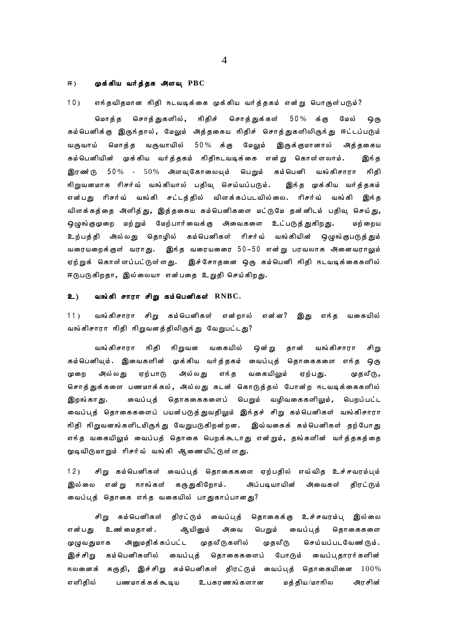### ஈ) முக்கிய வர்த்தக அளவு  $PBC$

### $10)$ எந்தவிதமான நிதி நடவடிக்கை முக்கிய வர்த்தகம் என்று பொருள்படும்?

மொத்த சொத்துகளில், நிதிச் சொத்துக்கள் 50% க்கு மேல் ஒரு கம்பெனிக்கு இருந்தால், மேலும் அத்தகைய நிதிச் சொத்துகளிலிருந்து ஈட்டப்படும் வருவாய் மொத்த வருவாயில் 50% க்கு மேலும் இருக்குமானால் அத்தகைய கம்பெனியின் முக்கிய வர்த்தகம் நிதிநடவடிக்கை என்று கொள்ளலாம். இங் த இரணர்டு 50% - 50% அளவுகோலையும் பெறும் கம்பெனி வங்கிசாரா நிதி நிறுவனமாக ரிசர்வ் வங்கியால் பதிவு செய்யப்படும். இங்த முக்கிய வர்த்தகம் என்பது ரிசர்வ் வங்கி சட்டத்தில் விளக்கப்படவில்லை. ரிசர்வ் வங்கி இந்த விளக்கத்தை அளித்து, இத்தகைய கம்பெனிகளை மட்டுமே தன்னிடம் பதிவு செய்து, ஒழுங்குமுறை மற்றும் மேற்பார்வைக்கு அவைகளை உட்படுத்துகிறது. மற்றைய உற்பத்தி அல்லது தொழில் கம்பெனிகள் ரிசர்வ் வங்கியின் ஒழுங்குபடுத்தும் வரையறைக்குள் வராது. இந்த வரையணை 50–50 என்று பரவலாக அனைவராலும் ஏற்றுக் கொள்ளப்பட்டுள்ளது. இச்சோதனை ஒரு கம்பெனி நிதி நடவடிக்கைகளில் ஈடுபடுகிறதா, இல்லையா என்பதை உறுதி செய்கிறது.

#### உ) வங்கி சாரா சிறு கம்பெனிகள்  $\text{RNBC.}$

 $11)$ வங்கிசாரா சிறு கம்பெனிகள் என்றால் என்ன? இது எந்த வகையில் வங்கிசாரா நிதி நிறுவனத்திலிருந்து வேறுபட்டது?

வங்கிசாரா நிதி நிறுவன வகையில் ஒன்று தான் வங்கிசாரா சிறு கம்பெனியும். இவைகளின் முக்கிய வர்த்தகம் வைப்புத் தொகைகளை எந்த ஒரு எந்த வகையிலும் முறை அல்லது ஏற்பாடு அில்லது ஏற்பது. முதலீடு, சொத்துக்களை பணமாக்கல், அல்லது கடன் கொடுத்தல் போன்ற நடவடிக்கைகளில் வைப்புத் தொககைகளைப் பெறும் வழிவகைகளிலும், பெறப்பட்ட இறங்காது. வைப்புத் தொகைகளைப் பயன்படுத்துவதிலும் இந்தச் சிறு கம்பெனிகள் வங்கிசாரா நிதி நிறுவனங்களிடமிருந்து வேறுபடுகிறன்றன. இவ்வகைக் கம்பெனிகள் தற்போது எந்த வகையிலும் வைப்பத் தொகை பெறக்கூடாது என்றும், தங்களின் வர்த்தகத்தை மூடிவிடுமாறும் ரிசர்வ் வங்கி ஆணையிட்டுள்ளது.

 $12)$ சிறு கம்பெனிகள் வைப்புத் தொகைகளை ஏற்பதில் எவ்வித உச்சவரம்பும் இல்லை என்று நாங்கள் கருதுகிறோம். அப்படியாயின் அவைகள் கிரட்டும் வைப்புத் தொகை எந்த வகையில் பாதுகாப்பானது?

சிறு கம்பெனிகள் திரட்டும் வைப்புத் தொகைக்கு உச்சவரம்பு இல்லை உணர்மைதான். ஆயினும் பெறும் வைப்புத் தொகைகளை என்பது அவை செய்யப்படவேண்டும். அனுமதிக்கப்பட்ட முதலீடுகளில் முதலீடு முழுவதுமாக கம்பெனிகளில் வைப்புத் தொகைகளைப் இச்சிறு போடும் வைப்புதாரர்களின் நலனைக் கருதி**, இ**ச்சிறு கம்பெனிகள் திரட்டும் வைப்புத் தொகையினை 100% எளிகில் பணமாக்கக்கூடிய உபகரணங்களான மக்கிய/மாஙில அரசின்

 $\overline{4}$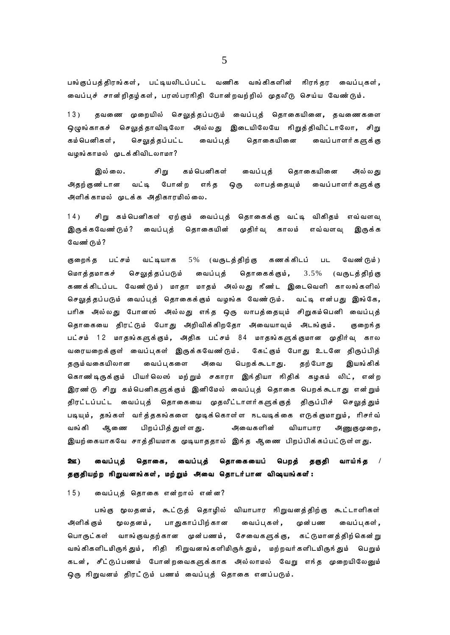பங்குப்பத்திரங்கள், பட்டியலிடப்பட்ட வணிக வங்கிகளின் நிரந்தர வைப்புகள், வைப்புச் சான்றிதழ்கள், பரஸ்பரஙிதி போன்றவற்றில் முதலீடு செய்ய வேண்டும்.

 $13)$ தவணை முறையில் செலுத்தப்படும் வைப்புத் தொகையினை, தவணைகளை ஒழுங்காகச் செலுத்தாவிடிலோ அல்லது இடையிலேயே நிறுத்திவிட்டாலோ, சிறு கம் பெனிகள் , செலுத்தப்பட்ட வைப்புத் தொகையினை வைப்பாளர்களுக்கு வழங்காமல் முடக்கிவிடலாமா?

இல்லை. கம் பெனிகள் சிறு வைப்புத் தொகையினை அல்லது அதற்குணர்டான வட்டி போன்ற எந்த ஒரு லாபத்தையும் வைப்பாளர்களுக்கு அளிக்காமல் முடக்க அதிகாரமில்லை.

சிறு கம்பெனிகள் ஏற்கும் வைப்புத் தொகைக்கு வட்டி விகிதம் எவ்வளவு  $14)$ இருக்கவேண்டும்? வைப்பத் தொகையின் முதிர்வு காலம் எவ்வளவு இருக்க வேண்டும்?

குறைந்த பட்சம் வட்டியாக 5% (வருடத்திற்கு கணக்கிடப் வேண்டும்)  $UL$ மொத்தமாகச் செலுத்தப்படும் வைப்புத் தொகைக்கும்,  $3.5%$ (வருடத்திற்கு கணக்கிடப்பட வேணர்டும்) மாதா மாதம் அல்லது நீணர்ட இடைவெளி காலங்களில் செலுத்தப்படும் வைப்புத் தொகைக்கும் வழங்க வேண்டும். வட்டி என்பது இங்கே, பரிசு அல்லது போனஸ் அல்லது எந்த ஒரு லாபத்தையும் சிறுகம்பெனி வைப்புத் தொகையை திரட்டும் போது அறிவிக்கிறதோ அவையாவும் அடங்கும். குறைந்த பட்சம் 12 மாதங்களுக்கும், அதிக பட்சம் 84 மாதங்களுக்குமான முதிர்வு கால வரையறைக்குள் வைப்புகள் இருக்கவேண்டும். கேட்கும் போது உடனே திருப்பித் தற் போ து தரும் வகையிலான வைப்பகளை அவை பெறக்கூடாது. இயங்கிக் கொணர்டிருக்கும் பியர்லெஸ் மற்றும் சகாரா இங்தியா ஙிதிக் கழகம் லிட், என்ற இரண்டு சிறு கம்பெனிகளுக்கும் இனிமேல் வைப்புத் தொகை பெறக்கூடாது என்றும் திரட்டப்பட்ட வைப்புத் தொகையை முதலீட்டாளர்களுக்குத் திருப்பிச் செலுத்தும் படியும், தங்கள் வர்த்தகங்களை மூடிக்கொள்ள நடவடிக்கை எடுக்குமாறும், ரிசர்வ் வங்கி ஆ னை பிறப்பித்துள்ளது. அவைகளின் வியாபார அணுகுமுறை, இயற்கையாகவே சாத்தியமாக முடியாததால் இந்த ஆணை பிறப்பிக்கப்பட்டுள்ளது.

### <u>2 ගෙ</u> வைப்புத் தொகை, வைப்புத் தொகையைப் பெறத் தகுதி வாய்ந்த / தகுதியற்ற நிறுவனங்கள், மற்றும் அவை தொடர்பான விஷயங்களீ:

### $15)$ வைப்புத் தொகை என்றால் என்ன?

பங்கு மூலதனம், கூட்டுத் தொழில் வியாபார நிறுவனத்திற்கு கூட்டாளிகள் அளிக்கும் மூலதனம், பாதுகாப்பிற்கான வைப்புகள், முன்பண வைப்புகள், பொருட்கள் வாங்குவதற்கான முன்பணம், சேவைகளுக்கு, கட்டுமானத்திற்கென்று வங்கிகளிடமிருந்தும், நிதி நிறுவனங்களிமிருந்தும், மற்றவர்களிடமிருந்தும் பெறும் கடன், சீட்டுப்பணம் போன்றவைகளுக்காக அல்லாமல் வேறு எந்த முறையிலேனும் ஒரு நிறுவனம் திரட்டும் பணம் வைப்புத் தொகை எனப்படும்.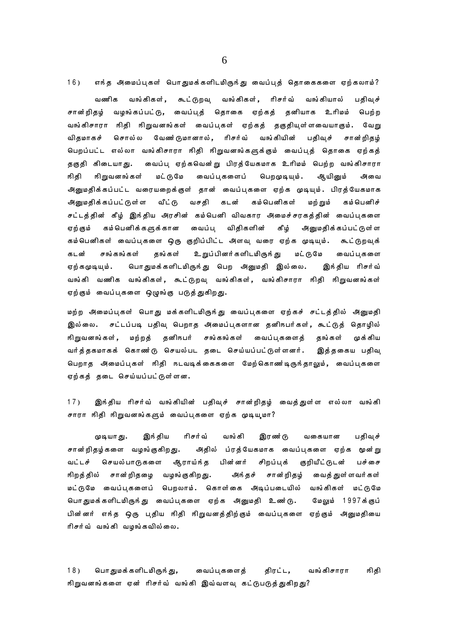$16)$ எந்த அமைப்புகள் பொதுமக்களிடமிருந்து வைப்புத் தொகைகளை ஏற்கலாம்? வணிக வங்கிகள், கூட்டுறவு வங்கிகள், ரிசர்வ் வங்கியால் பதிவச் வழங்கப்பட்டு, வைப்புத் தொகை ஏற்கத் தனியாக உரிமம் சான்றிதழ் பெற்ற வங்கிசாரா நிதி நிறுவனங்கள் வைப்புகள் ஏற்கத் தகுதியுள்ளவையாகும். வேறு விகமாகச் சொல்ல வேணர்டுமானால், ரிசர்வ் வங்கியின் பதிவுச் சான்றிதழ் பெறப்பட்ட எல்லா வங்கிசாரா நிதி நிறுவனங்களுக்கும் வைப்புத் தொகை ஏற்கத் தகுதி கிடையாது. வைப்பு ஏற்கவென்று பிரத்யேகமாக உரிமம் பெற்ற வங்கிசாரா நிதி நிறுவனங்கள் மட்டுமே வைப்புகளைப் பெறமுடியும். ஆயினும் அவை அனுமதிக்கப்பட்ட வரையறைக்குள் தான் வைப்புகளை ஏற்க முடியும். பிரத்யேகமாக அினுமதிக்கப்பட்டுள்ள வீட்டு வசதி கடன் கம் பெனிகள் மற் றும் கம்பெனிச் சட்டத்தின் கீழ் இங்திய அரசின் கம்பெனி விவகார அமைச்சரகத்தின் வைப்புகளை வைப்பு விதிகளின் கீழ் அனுமதிக்கப்பட்டுள்ள ஏற் கும் கம் பெனிக் களுக் கான கம்பெனிகள் வைப்புகளை ஒரு குறிப்பிட்ட அளவு வரை ஏற்க முடியும். கூட்டுறவுக் கடன் சங்கங்கள் தங்கள் உறுப்பினர்களிடமிருந்து மட்டுமே வைப்பகளை ஏற்கமுடியும். பொதுமக்களிடமிருந்து பெற அனுமதி இல்லை. இந்திய ரிசர்வ் வங்கி வணிக வங்கிகள், கூட்டுறவு வங்கிகள், வங்கிசாரா நிதி நிறுவனங்கள் ஏற்கும் வைப்புகளை ஒழுங்கு படுத்துகிறது.

மற்ற அமைப்புகள் பொது மக்களிடமிருந்து வைப்புகளை ஏற்கச் சட்டத்தில் அனுமதி இல்லை. சட்டப்படி பதிவு பெறாத அமைப்புகளான தனிநபர்கள், கூட்டுத் தொழில் மற்றத் தனிநபர் சங்கங்கள் நிறுவனங்கள், வைப்புகளைத் தங்கள் முக்கிய வர்த்தகமாகக் கொண $\overline{6}$  செயல்பட தடை செய்யப்பட்டுள்ளனர். இத்தகைய பதிவு பெறாத அமைப்புகள் நிதி நடவடிக்கைகளை மேற்கொண்டிருந்தாலும், வைப்புகளை ஏற்கத் தடை செய்யப்பட்டுள்ளன.

இந்திய ரிசர்வ் வங்கியின் பதிவுச் சான்றிதழ் வைத்துள்ள எல்லா வங்கி  $17)$ சாரா நிதி நிறுவனங்களும் வைப்புகளை ஏற்க முடியுமா?

இந் திய ரிசர்வ் வங்கி இரண்டு முடியாது. வகையான பதிவுச் சான்றிதழ்களை வழங்குகிறது. அதில் ப்ரத்யேகமாக வைப்புகளை ஏற்க மூன்று வட்டச் செயல்பாடுகளை சிறப்புக் குறியீட்டுடன் பச்சை ஆராய்ந்த பின்னர் நிறத்தில் சான்றிதழை வழங்குகிறது. அங்தச் சான்றிதழ் வைத் துள்ளவர் கள் மட்டுமே வைப்புகளைப் பெறலாம். கொள்கை அடிப்படையில் வங்கிகள் மட்டுமே பொதுமக்களிடமிருந்து வைப்புகளை ஏற்க அனுமதி உணர்டு. மேலும் 1997க்குப் பின்னர் எந்த ஒரு புதிய நிதி நிறுவனத்திற்கும் வைப்புகளை ஏற்கும் அனுமதியை ரிசர்வ் வங்கி வழங்கவில்லை.

 $18)$ பொதுமக்களிடமிருந்து, திரட்ட, வங்கிசாரா நிதி வைப்புகளைத் நிறுவனங்களை ஏன் ரிசர்வ் வங்கி இவ்வளவு கட்டுபடுத்துகிறது?

6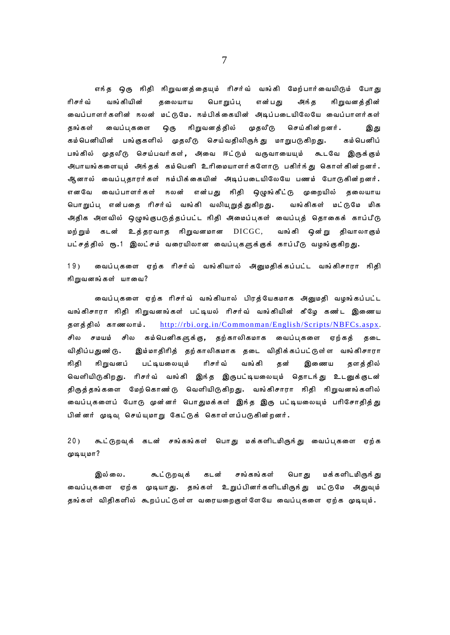எந்த ஒரு நிதி நிறுவனத்தையும் ரிசர்வ் வங்கி மேற்பார்வையிடும் போது ரிசர்வ் வங்கியின் கலையாய பொறுப்ப என்பது அங்க நிறுவனத்தின் வைப்பாளர்களின் நலன் மட்டுமே. நம்பிக்கையின் அடிப்படையிலேயே வைப்பாளர்கள் வைப்பகளை ஒரு நிறுவனத்தில் முதலீடு செய்கின்றனர். **கங்கள்** இது கம்பெனியின் பங்குகளில் முதலீடு செய்வதிலிருந்து மாறுபடுகிறது. கம்பெனிப் பங்கில் முதலீடு செய்பவர்கள், அவை ஈட்டும் வருவாயையும் கூடவே இருக்கும் அபாயங்களையும் அந்தக் கம்பெனி உரிமையாளர்களோடு பகிர்ந்து கொள்கின்றனர். ஆனால் வைப்பதாரர்கள் நம்பிக்கையின் அடிப்படையிலேயே பணம் போடுகின்றனர். எனவே வைப்பாளர்கள் நலன் என்பது நிதி ஒழுங்கீட்டு முறையில் தலையாய பொறுப்பு என்பதை ரிசர்வ் வங்கி வலியுறுத்துகிறது. வங்கிகள் மட்டுமே மிக அதிக அளவில் ஒழுங்குபடுத்தப்பட்ட நிதி அமைப்புகள் வைப்புத் தொகைக் காப்பீடு மற்றும் கடன் உத்தரவாத நிறுவனமான  $\rm DICGC$ , வங்கி ஒன்று திவாலாகும் பட்சத்தில் ரூ.1 இலட்சம் வரையிலான வைப்புகளுக்குக் காப்பீடு வழங்குகிறது.

வைப்புகளை ஏற்க ரிசர்வ் வங்கியால் அனுமதிக்கப்பட்ட வங்கிசாரா நிதி  $19)$ நிறுவனங்கள் யாவை?

வைப்புகளை ஏற்க ரிசர்வ் வங்கியால் பிரத்யேகமாக அனுமதி வழங்கப்பட்ட வங்கிசாரா நிதி நிறுவனங்கள் பட்டியல் ரிசர்வ் வங்கியின் கீழே கண்ட இணைய தளத்தில் காணலாம். http://rbi.org.in/Commonman/English/Scripts/NBFCs.aspx. சில சமயம் சில கம்பெனிகளுக்கு, தற்காலிகமாக வைப்புகளை ஏற்கத் தடை விதிப்பதுண்டு. இம்மாதிரித் தற்காலிகமாக தடை விதிக்கப்பட்டுள்ள வங்கிசாரா நிறுவனப் பட்டியலையும் ரிசர்வ் வங்கி ஙிகி தன் இணைய தளத்தில் வெளியிடுகிறது. ரிசர்வ் வங்கி இந்த இருபட்டியலையும் தொடந்து உடனுக்குடன் திருத்தங்களை மேற்கொண்டு வெளியிடுகிறது. வங்கிசாரா நிதி நிறுவனங்களில் வைப்புகளைப் போடு முன்னர் பொதுமக்கள் இந்த இரு பட்டியலையும் பரிசோதித்து பின்னர் முடிவு செய்யுமாறு கேட்டுக் கொள்ளப்படுகின்றனர்.

 $20<sub>1</sub>$ கூட்டுறவுக் கடன் சங்கங்கள் பொது மக்களிடமிருந்து வைப்புகளை ஏற்க முடியுமா?

இல்லை. கூட்டுறவுக் சங்கங்கள் பொது மக்களிடமிருந்து கடன் வைப்புகளை ஏற்க முடியாது. தங்கள் உறுப்பினர்களிடமிருந்து மட்டுமே அதுவும் தங்கள் விதிகளில் கூறப்பட்டுள்ள வரையறைகுள்ளேயே வைப்புகளை ஏற்க முடியும்.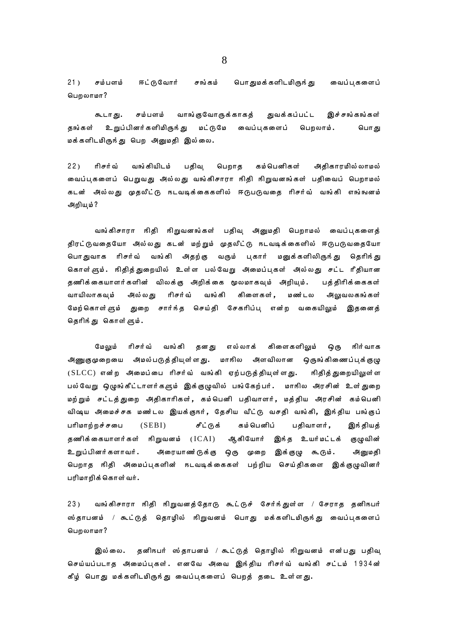$21)$ சம்பளம் ஈட்டுவோர் சங்கம் பொ துமக் களிடமிருந் து வைப்பகளைப் பெறலாமா?

வாங்குவோருக்காகத் சம்பளம் துவக்கப்பட்ட இச்சங்கங்கள் கூடாது. உறுப்பினர்களிமிருந்து மட்டுமே வைப்பகளைப் பெறலாம். தங்கள் பொது மக்களிடமிருந்து பெற அனுமதி இல்லை.

 $22)$ ரிசர்வ் வங்கியிடம் பதிவு பெறாத கம்பெனிகள் அதிகாரமில் லாமல் வைப்பகளைப் பெறுவது அல்லது வங்கிசாரா நிதி நிறுவனங்கள் பதிவைப் பெறாமல் கடன் அல்லது முதலீட்டு நடவடிக்கைகளில் ஈடுபடுவதை ரிசர்வ் வங்கி எங்ஙனம் அறியும் ?

வங்கிசாரா நிதி நிறுவனங்கள் பதிவ அனுமதி பெறாமல் வைப்பகளைத் திரட்டுவதையோ அல்லது கடன் மற்றும் முதலீட்டு நடவடிக்கைளில் ஈடுபடுவதையோ பொதுவாக ரிசர்வ் வங்கி அதற்கு வரும் புகார் மனுக்களிலிருந்து தெரிந்து கொள்ளும். நிதித்துறையில் உள்ள பல்வேறு அமைப்புகள் அல்லது சட்ட ரீதியான தணிக்கையாளர்களின் விலக்கு அறிக்கை மூலமாகவும் அறியும். பத்திரிக்கைகள் ரிசர்வ் வங்கி வாயிலாகவும் அல்லது கிளைகள் , மண்டல அலுவலகங்கள் மேற்கொள்ளும் துறை சார்ந்த செய்தி சேகரிப்பு என்ற வகையிலும் இதனைத் தெரிந்து கொள்ளும்.

மேலும் ரிசர்வ் வங்கி தனது எல்லாக் கிளைகளிலும் **ெரு** நிர் வாக அணுகுமுறையை அமல்படுத்தியுள்ளது. மாநில அளவிலான ஒருங்கிணைப்புக்குழு  $(SLCC)$  என்ற அமைப்பை ரிசர்வ் வங்கி ஏற்படுத்தியுள்ளது. நிதித் துறையிலுள் ள பல்வேறு ஒழுங்கீட்டாளர்களும் இக்குழுவில் பங்கேற்பர். மாஙில அரசின் உள்துறை மற்றும் சட்டத்துறை அதிகாரிகள், கம்பெனி பதிவாளர், மத்திய அரசின் கம்பெனி விஷய அமைச்சக மண்டல இயக்குநர், தேசிய வீட்டு வசதி வங்கி, இந்திய பங்குப்  $(SEBI)$ சீட்டுக் கம் பெனிப் பரிமாற்றச்சபை பதிவாளர் , இங்தியத் ஆகியோர் இந்த உயர்மட்டக் குழுவின் தணிக்கையாளர்கள் நிறுவனம் (ICAI) அரையாணர்டுக்கு ஒரு முறை இக்குழு கூடும். உறுப்பினர்களாவர். அனுமதி பெறாத நிதி அமைப்புகளின் நடவடிக்கைகள் பற்றிய செய்திகளை இக்குழுவினர் பரிமாறிக்கொள்வர்.

வங்கிசாரா நிதி நிறுவனத்தோடு கூட்டுச் சேர்ந்துள்ள / சேராத தனிநபர்  $23)$ ஸ்தாபனம் / கூட்டுத் தொழில் நிறுவனம் பொது மக்களிடமிருந்து வைப்புகளைப் பெறலாமா?

தனிநபர் ஸ்தாபனம் / கூட்டுத் தொழில் நிறுவனம் என்பது பதிவு இல்லை. செய்யப்படாத அமைப்புகள். எனவே அவை இந்திய ரிசர்வ் வங்கி சட்டம் 1934ன் கீழ் பொது மக்களிடமிருந்து வைப்புகளைப் பெறத் தடை உள்ளது.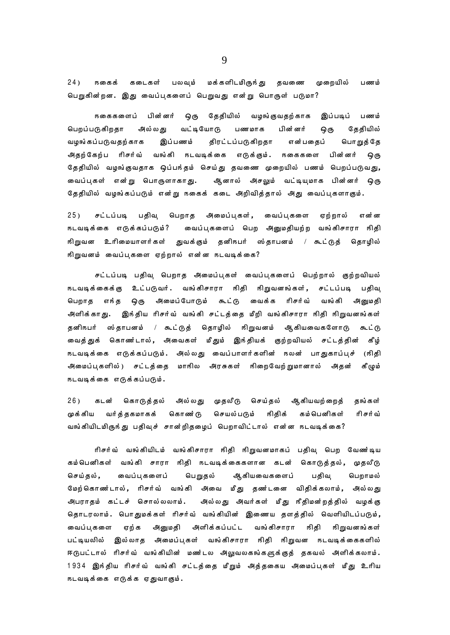$24)$ **நகைக்** கடைகள் பலவும் மக்களிடமிருந்து தவணை முறையில் பணம் பெறுகின்றன. இது வைப்புகளைப் பெறுவது என்று பொருள் படுமா?

**நகைகளைப்** பின்னர் தேதியில் வழங்குவதற்காக இப்படிப் ழெரு பணம் பெறப்படுகிறதா அல்லகு வட்டியோடு பணமாக பின்னர் ஒரு கேகியில் என்பதைப் வழங்கப்படுவதற்காக இப்பணம் திரட்டப்படுகிறதா பொறுத்தே அிதற்கேற்ப ரிசர்வ் வங்கி நடவடிக்கை எடுக்கும். நகைகளை பின்னர் ஒரு தேதியில் வழங்குவதாக ஒப்பந்தம் செய்து தவணை முறையில் பணம் பெறப்படுவது, வைப்புகள் என்று பொருளாகாது. ஆனால் அசலும் வட்டியுமாக பின்னர் ஒரு தேதியில் வழங்கப்படும் என்று நகைக் கடை அறிவித்தால் அது வைப்புகளாகும்.

 $25)$ சட்டப்படி பதிவு பெறாத அமைப்புகள், வைப்பகளை ஏற்றால் என்ன வைப்புகளைப் பெற அனுமதியற்ற வங்கிசாரா நிதி நடவடிக்கை எடுக்கப்படும்? நிறுவன உரிமையாளர்கள் துவக்கும் தனிநபர் ஸ்தாபனம் / கூட்டுத் தொழில் நிறுவனம் வைப்புகளை ஏற்றால் என்ன நடவடிக்கை?

சட்டப்படி பதிவு பெறாத அமைப்புகள் வைப்புகளைப் பெற்றால் குற்றவியல் நடவடிக்கைக்கு உட்படுவர். வங்கிசாரா நிதி நிறுவனங்கள், சட்டப்படி பதிவு அமைப்போடும் கூட்டு வைக்க ரிசர்வ் பெறாத எங்த ஒரு வங்கி அனுமதி அளிக்காது. இந்திய ரிசர்வ் வங்கி சட்டத்தை மீறி வங்கிசாரா நிதி நிறுவனங்கள் தனிநபர் ஸ்தாபனம் / கூட்டுத் தொழில் நிறுவனம் ஆகியவைகளோடு கூட்டு வைத்துக் கொணர்டால், அவைகள் மீதும் இந்தியக் குற்றவியல் சட்டத்தின் கீழ் நடவடிக்கை எடுக்கப்படும். அல்லது வைப்பாளர்களின் நலன் பாதுகாப்புச் (நிதி அமைப்புகளில்) சட்டத்தை மாநில அரசுகள் நிறைவேற்றுமானால் அதன் கீழும் நடவடிக்கை எடுக்கப்படும்.

 $26)$ கொடுத்தல் அல்லது முதலீடு செய்தல் ஆகியவற்றைத் கடன் கங்கள் செயல்படும் ஙிதிக் முக்கிய வர்த்தகமாகக் கொண்டு கம்பெனிகள் ரிசர்வ் வங்கியிடமிருந்து பதிவுச் சான்றிதழைப் பெறாவிட்டால் என்ன நடவடிக்கை?

ரிசர்வ் வங்கியிடம் வங்கிசாரா நிதி நிறுவனமாகப் பதிவு பெற வேண்டிய கம்பெனிகள் வங்கி சாரா நிதி நடவடிக்கைகளான கடன் கொடுத்தல், முதலீடு செய்தல், வைப்பகளைப் பெறுதல் ஆகியவைகளைப் பதிவு பெறாமல் மேற்கொணர்டால், ரிசர்வ் வங்கி அவை மீது தணர்டனை விதிக்கலாம், அல்லது அல்லது அவர்கள் மீது நீதிமன்றத்தில் வழக்கு அபராதம் கட்டச் சொல்லலாம். தொடரலாம். பொதுமக்கள் ரிசர்வ் வங்கியின் இணைய தளத்தில் வெளியிடப்படும், அளிக்கப்பட்ட வங்கிசாரா வைப்பகளை ஏற்க அனுமதி ஙிதி நிறுவனங்கள் பட்டியலில் இல்லாத அமைப்புகள் வங்கிசாரா நிதி நிறுவன நடவடிக்கைகளில் ஈடுபட்டால் ரிசர்வ் வங்கியின் மண்டல அலுவலகங்களுக்குத் தகவல் அளிக்கலாம். 1934 இங்திய ரிசர்வ் வங்கி சட்டத்தை மீறும் அத்தகைய அமைப்புகள் மீது உரிய நடவடிக்கை எடுக்க ஏதுவாகும்.

9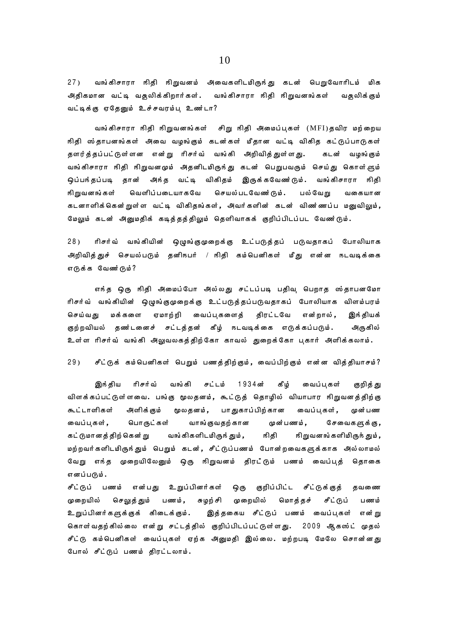$27)$ வங்கிசாரா நிதி நிறுவனம் அவைகளிடமிருந்து கடன் பெறுவோரிடம் மிக அதிகமான வட்டி வசூலிக்கிறார்கள். வங்கிசாரா நிதி நிறுவனங்கள் வதூலிக்கும் வட்டிக்கு ஏதேனும் உச்சவரம்ப உண்டா?

வங்கிசாரா நிதி நிறுவனங்கள் சிறு நிதி அமைப்புகள் (MFI)தவிர மற்றைய நிதி ஸ்தாபனங்கள் அவை வழங்கும் கடன்கள் மீதான வட்டி விகித கட்டுப்பாடுகள் தளர்த்தப்பட்டுள்ளன என்று ரிசர்வ் வங்கி அறிவித்துள்ளது. கடன் வழங்கும் வங்கிசாரா நிதி நிறுவனமும் அதனிடமிருந்து கடன் பெறுபவரும் செய்து கொள்ளும் ஒப்பந்தப்படி தான் அந்த வட்டி விகிதம் இருக்கவேணர்டும். வங்கிசாரா நிதி நிறுவனங்கள் வெளிப்படையாகவே செயல்படவேண்டும். பல்வேறு வகையான கடனாளிக்கென்றுள்ள வட்டி விகிதங்கள், அவர்களின் கடன் விண ்ணப்ப மனுவிலும், மேலும் கடன் அனுமதிக் கடித்தத்திலும் தெளிவாகக் குறிப்பிடப்பட வேணர்டும்.

 $28)$ ரிசர்வ் வங்கியின் ஒழுங்குமுறைக்கு உட்படுத்தப் படுவதாகப் போலியாக அறிவித்துச் செயல்படும் தனிநபர் / நிதி கம்பெனிகள் மீது என்ன நடவடிக்கை எடுக்க வேண்டும்?

எந்த ஒரு நிதி அமைப்போ அல்லது சட்டப்படி பதிவு பெறாத ஸ்தாபனமோ ரிசர்வ் வங்கியின் ஒழுங்குமுறைக்கு உட்படுத்தப்படுவதாகப் போலியாக விளம்பரம் மக்களை ஏமாற்றி வைப்புகளைத் திரட்டவே செய்வது என்றால் , இந் தியக் குற்றவியல் தணர்டனைச் சட்டத்தன் கீழ் நடவடிக்கை எடுக்கப்படும். அருகில் உள்ள ரிசர்வ் வங்கி அலுவலகத்திற்கோ காவல் துறைக்கோ பகார் அளிக்கலாம்.

 $29<sub>1</sub>$ சீட்டுக் கம்பெனிகள் பெறும் பணத்திற்கும், வைப்பிற்கும் என்ன வித்தியாசம்?

இந் திய ரிசர்வ் வங்கி சட்டம் 1 9 3 4 ன் கீழ் வைப்பகள் குறித் து விளக்கப்பட்டுள்ளவை. பங்கு மூலதனம், கூட்டுத் தொழில் வியாபார நிறுவனத்திற்கு கூட்டாளிகள் அளிக்கும் மூலதனம், பாதுகாப்பிற்கான வைப்பகள், முன்பண பொருட்கள் வாங்குவதற்கான வைப்பகள், முன்பணம், சேவைகளுக்கு, நிதி கட்டுமானத்திற்கென்று வங்கிகளிடமிருந்தும், நிறுவனங்களிமிருந்தும், மற்றவர்களிடமிருந்தும் பெறும் கடன், சீட்டுப்பணம் போன்றவைகளுக்காக அல்லாமல் வேறு எந்த முறையிலேனும் ஒரு நிறுவனம் திரட்டும் பணம் வைப்புத் தொகை எனப்படும்.

சீட்டுப் பணம் என்பது உறுப்பினர்கள் ஒரு குறிப்பிட்ட சீட்டுக்குத் தவணை முறையில் செலுத் தும் பணம், சுழற் சி முறையில் மொத்தச் சீட்டுப் பணம் உறுப்பினர்களுக்குக் கிடைக்கும். இத்தகைய சீட்டுப் பணம் வைப்புகள் என்று கொள்வதற்கில்லை என்று சட்டத்தில் குறிப்பிடப்பட்டுள்ளது. 2009 ஆகஸ்ட் முதல் சீட்டு கம்பெனிகள் வைப்புகள் ஏற்க அனுமதி இல்லை. மற்றபடி மேலே சொன்னது போல் சீட்டுப் பணம் திரட்டலாம்.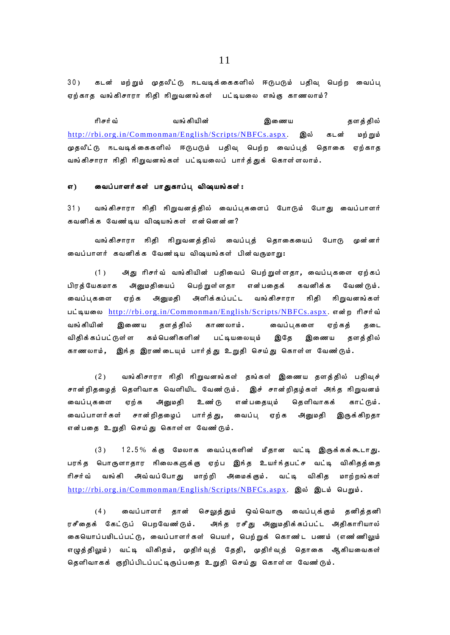30) கடன் மற்றும் முதலீட்டு நடவடிக்கைகளில் ஈடுபடும் பதிவு பெற்ற வைப்பு ஏற்காத வங்கிசாரா நிதி நிறுவனங்கள் பட்டியலை எங்கு காணலாம்?

ரிசர்வ் ; வங்கியின் ; இணைய தளத்தில் http://rbi.org.in/Commonman/English/Scripts/NBFCs.aspx. இல் கடன் மற்றும் முதலீட்டு நடவடிக்கைகளில் ஈடுபடும் பதிவ பெற்ற வைப்புத் தொகை ஏற்காத வங்கிசாரா நிதி நிறுவனங்கள் பட்டியலைப் பார்த்துக் கொள்ளலாம்.

### எ) வைப்பாளர்கள் பாதுகாப்பு விஷயங்கள்:

31) வங்கிசாரா நிதி நிறுவனத்தில் வைப்புகளைப் போடும் போது வைப்பாளர் கவனிக்க வேண்டிய விஷயங்கள் என்னென்ன?

வங்கிசாரா நிதி நிறுவனத்தில் வைப்புத் தொகையைப் போடு முன்னர் வைப்பாளர் கவனிக்க வேண்டிய விஷயங்கள் பின்வருமாறு:

(1) அது ரிசர்வ் வங்கியின் பதிவைப் பெற்றுள்ளதா, வைப்புகளை ஏற்கப் பிரக்யேகமாக அனுமகியைப் பெற்றுள்ளதா என்பதைக் கவனிக்க வேண்டும். வைப்புகளை ஏற்க அனுமதி அளிக்கப்பட்ட வங்கிசாரா நிதி நிறுவனங்கள் பட்டியலை <http://rbi.org.in/Commonman/English/Scripts/NBFCs.aspx>. என்ற ரிசர்வ் வங்கியின் இணைய தளத்தில் காணலாம். வைப்பகளை ஏற்கத் தடை விதிக்கப்பட்டுள்ள கம்பெனிகளின் பட்டியலையம் இதே இணைய தளத்தில் காணலாம், இந்த இரண்டையும் பார்த்து உறுதி செய்து கொள்ள வேணர்டும்.

(2) வங்கிசாரா நிதி நிறுவனங்கள் தங்கள் இணைய தளத்தில் பதிவுச் சான்றிதழைத் தெளிவாக வெளியிட வேண்டும். இச் சான்றிதழ்கள் அந்த நிறுவனம் வைப்புகளை ஏற்க அனுமதி உணர்டு என்பதையும் தெளிவாகக் காட்டும். வைப்பாளர்கள் சான்றிதழைப் பார்த்து, வைப்பு ஏற்க அனுமதி இருக்கிறதா என்பதை உறுதி செய்து கொள்ள வேண்டும்.

 $(3)$  12.5% க்கு மேலாக வைப்புகளின் மீதான வட்டி இருக்கக்கூடாது. பரந்த பொருளாதார நிலைகளுக்கு ஏற்ப இந்த உயர்ந்தபட்ச வட்டி விகிதத்தை ரிசர்வ் வங்கி அவ்வப்போது மாற்றி அமைக்கும். வட்டி விகித மாற்றங்கள் http://rbi.org.in/Commonman/English/Scripts/NBFCs.aspx. இல் இடம் பெறும்.

(4) வைப்பாளர் தான் செலுத்தும் ஒவ்வொரு வைப்பக்கும் தனித்தனி ரசீதைக் கேட்டுப் பெறவேண்டும். அந்த ரசீது அனுமதிக்கப்பட்ட அதிகாரியால் கையொப்பமிடப்பட்டு, வைப்பாளர்கள் பெயர், பெற்றுக் கொண்ட பணம் (எண ்ணிலும் எழுத்திலும்) வட்டி விகிதம், முதிர்வுத் தேதி, முதிர்வுத் தொகை ஆகியவைகள் தெளிவாகக் குறிப்பிடப்பட்டிருப்பதை உறுதி செய்து கொள்ள வேண்டும்.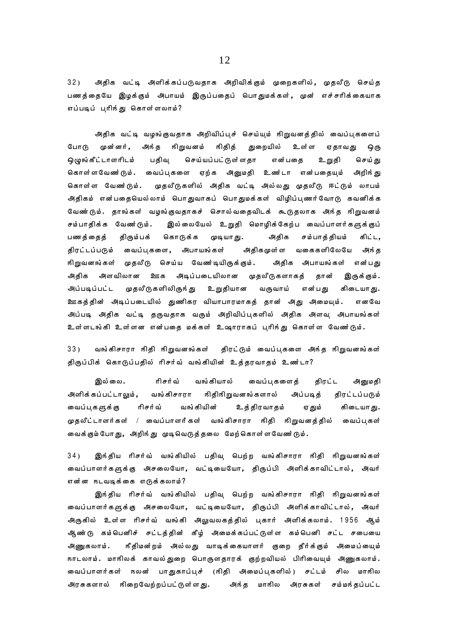அதிக வட்டி அளிக்கப்படுவதாக அறிவிக்கும் முறைகளில், முதலீடு செய்த  $32)$ பணத்தையே இழக்கும் அபாயம் இருப்பதைப் பொதுமக்கள், முன் எச்சரிக்கையாக எப்படிப் பரிந்து கொள்ளலாம்?

அதிக வட்டி வழங்குவதாக அறிவிப்புச் செய்யும் நிறுவனத்தில் வைப்புகளைப் போடு முன்னர். அங்த நிறுவனம் நிதித் துறையில் உள்ள ஏதாவது ஒரு ஒழுங்கீட்டாளரிடம் பதிவு செய்யப்பட்டுள்ளதா என்பதை உறுதி செய் து கொள்ளவேணர்டும். வைப்புகளை ஏற்க அனுமதி உணர்டா என்பதையும் அறிந்து முதலீடுகளில் அதிக வட்டி அல்லது முதலீடு ஈட்டும் லாபம் கொள்ள வேணர்டும். .<br>அதிகம் என்பதையெல்லாம் பொதுவாகப் பொதுமக்கள் விழிப்புணர்வோடு கவனிக்க வேண்டும். தாங்கள் வழங்குவதாகச் சொல்வதைவிடக் கூடுதலாக அந்த நிறுவனம் இல்லையேல் உறுதி மொழிக்கேற்ப வைப்பாளர்களுக்குப் சம்பாதிக்க வேணர்டும். பணத்தைத் திரும்பக் கொடுக்க முடியாது. அதிக சம்பாத்தியம் கிட்ட. திரட்டப்படும் வைப்பகளை, அபாயங்கள் அதிகமுள்ள வகைகளிலேயே அங்க நிறுவனங்கள் முதலீடு செய்ய வேணர்டியிருக்கும். அதிக அபாயங்கள் என்பது அதிக அளவிலான ஊக அடிப்படையிலான முதலீடுகளாகத் தான் இருக்கும். முதலீடுகளிலிருந்து உறுதியான அப்படிப்பட்ட வருவாய் என்பது கிடையா து. ஊகத்தின் அடிப்படையில் துணிகர வியாபாரமாகத் தான் அது அமையும். எனவே அப்படி அதிக வட்டி தருவதாக வரும் அறிவிப்புகளில் அதிக அளவு அபாயங்கள் உள்ளடங்கி உள்ளன என்பதை மக்கள் உஷாராகப் பரிந்து கொள்ள வேணர்டும்.

 $33)$ வங்கிசாரா நிதி நிறுவனங்கள் திரட்டும் வைப்புகளை அந்த நிறுவனங்கள் திருப்பிக் கொடுப்பதில் ரிசர்வ் வங்கியின் உத்தரவாதம் உண்டா?

இல்லை. ரிசர்வ் வங்கியால் வைப்புகளைத் திரட்ட அனுமதி அளிக்கப்பட்டாலும், வங்கிசாரா நிதிநிறுவனங்களால் அப்படித் திரட்டப்படும் வைப்புகளுக்கு ரிசர்வ் வங்கியின் உத்திரவாதம் ஏ தும் கிடையாது. முதலீட்டாளர்கள் / வைப்பாளர்கள் வங்கிசாரா நிதி நிறுவனத்தில் வைப்புகள் வைக்கும்போது, அறிந்து முடிவெடுத்தலை மேற்கொள்ளவேண்டும்.

 $34)$ இங்திய ரிசர்வ் வங்கியில் பதிவு பெற்ற வங்கிசாரா ஙிதி ஙிறுவனங்கள் வைப்பாளர்களுக்கு அசலையோ, வட்டியையோ, திருப்பி அளிக்காவிட்டால், அவர் என்ன நடவடிக்கை எடுக்கலாம்?

இந்திய ரிசர்வ் வங்கியில் பதிவு பெற்ற வங்கிசாரா நிதி நிறுவனங்கள் வைப்பாளர்களுக்கு அசலையோ, வட்டியையோ, திருப்பி அளிக்காவிட்டால், அவர் அருகில் உள்ள ரிசர்வ் வங்கி அலுவலகத்தில் புகார் அளிக்கலாம். 1956 ஆம் ஆண்டு கம்பெனிச் சட்டத்தின் கீழ் அமைக்கப்பட்டுள்ள கம்பெனி சட்ட சபையை ரீதிமன்றம் அல்லது வாடிக்கையாளர் குறை தீர்க்கும் அமைப்யைும் அணுகலாம். நாடலாம். மாநிலக் காவல்துறை பொருளதாரக் குற்றவியல் பிரிவையும் அணுகலாம். வைப்பாளர்கள் நலன் பாதுகாப்புச் (நிதி அமைப்புகளில்) சட்டம் சில மாநில அந்த மாநில அரசுகள் சம்மந்தப்பட்ட அரசுகளால் நிறைவேற்றப்பட்டுள்ளது.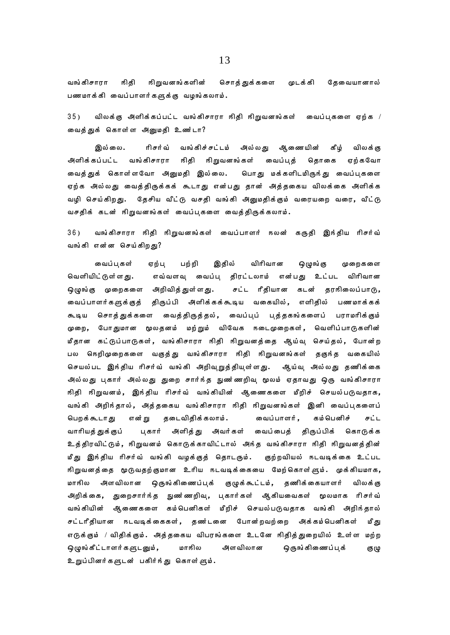வங்கிசாரா ஙிதி நிறுவனங்களின் சொத்துக்களை முடக்கி தேவையானால் பணமாக்கி வைப்பாளர்களுக்கு வழங்கலாம்.

விலக்கு அளிக்கப்பட்ட வங்கிசாரா நிதி நிறுவனங்கள் வைப்புகளை ஏற்க /  $35)$ வைத்துக் கொள்ள அனுமதி உண்டா?

ரிசர்வ் வங்கிச்சட்டம் அல்லது ஆணையின் இல்லை. கீம் விலக் கு அளிக்கப்பட்ட வங்கிசாரா நிதி நிறுவனங்கள் வைப்பத் தொகை ஏற்கவோ வைத்துக் கொள்ளவோ அனுமதி இல்லை. பொது மக்களிடமிருந்து வைப்புகளை ஏற்க அல்லது வைத்திருக்கக் கூடாது என்பது தான் அத்தகைய விலக்கை அளிக்க வழி செய்கிறது. தேசிய வீட்டு வசதி வங்கி அனுமதிக்கும் வரையறை வரை, வீட்டு வசதிக் கடன் நிறுவனங்கள் வைப்புகளை வைத்திருக்கலாம்.

 $36)$ வங்கிசாரா நிதி நிறுவனங்கள் வைப்பாளர் நலன் கருதி இந்திய ரிசர்வ் வங்கி என்ன செய்கிறது?

விரிவான வைப்பகள் பற்றி இதில் ஒழுங்கு ஏற்பு முறைகளை எவ்வளவு வைப்பு திரட்டலாம் என்பது உட்பட விரிவான வெளியிட்டுள்ளது. ஒழுங்கு முறைகளை அறிவித்துள்ளது. சட்ட ரீதியான கடன் தரஙிலைப்பாடு, .<br>வைப்பாளர்களுக்குத் திருப்பி அளிக்கக்கூடிய வகையில்**,** எளிதில் பணமாக்கக் சொத்துக்களை வைத்திருத்தல், வைப்புப் புத்தகங்களைப் பராமரிக்கும் கூடிய முறை, போதுமான மூலதனம் மற்றும் விவேக நடைமுறைகள், வெளிப்பாடுகளின் மீதான கட்டுப்பாடுகள், வங்கிசாரா நிதி நிறுவனத்தை ஆய்வு செய்தல், போன்ற பல நெறிமுறைகளை வகுத்து வங்கிசாரா நிதி நிறுவனங்கள் தகுந்த வகையில் செயல்பட இந்திய ரிசர்வ் வங்கி அறிவுறுத்தியுள்ளது. ஆய்வு அல்லது தணிக்கை அில்லது புகார் அல்லது துறை சார்ந்த நுண'ணறிவு மூலம் ஏதாவது ஒரு வங்கிசாரா நிதி நிறுவனம், இந்திய ரிசர்வ் வங்கியின் ஆணைகளை மீறிச் செயல்படுவதாக, வங்கி அறிந்தால், அத்தகைய வங்கிசாரா நிதி நிறுவனங்கள் இனி வைப்புகளைப் பெறக்கூடாது என் று தடைவிதிக்கலாம். வைப்பாளர், கம்பெனிச் சட்ட அளித்து அவர்கள் வைப்பைத் திருப்பிக் கொடுக்க வாரியத் துக்குப் புகார் உத்திரவிட்டும், நிறுவனம் கொடுக்காவிட்டால் அந்த வங்கிசாரா நிதி நிறுவனத்தின் மீது இந்திய ரிசர்வ் வங்கி வழக்குத் தொடரும். குற்றவியல் நடவடிக்கை உட்பட நிறுவனத்தை மூடுவதற்குமான உரிய நடவடிக்கையை மேற்கொள்ளும். முக்கியமாக, அளவிலான ஒருங்கிணைப்புக் குழுக்கூட்டம், தணிக்கையாளர் மாநில விலக் கு அறிக்கை, துறைசார்ந்த நுணர்ணறிவு, புகார்கள் ஆகியவைகள் மூலமாக ரிசர்வ் வங்கியின் ஆணைகளை கம்பெனிகள் மீறிச் செயல்படுவதாக வங்கி அறிந்தால் சட்டரீதியான நடவடிக்கைகள், தண்டனை போன்றவற்றை அக்கம்பெனிகள் மீது எடுக்கும் / விதிக்கும். அத்தகைய விபரங்களை உடனே நிதித்துறையில் உள்ள மற்ற ஒழுங்கீட்டாளர்களுடனும், மாஙில அளவிலான ஒருங்கிணைப்புக் குழு உறுப்பினர்களுடன் பகிர்ந்து கொள்ளும்.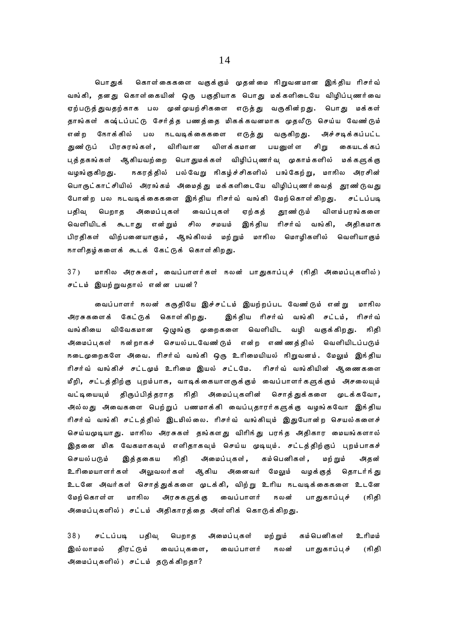பொ குக் கொள்கைகளை வகுக்கும் முதன்மை நிறுவனமான இந்திய ரிசர்வ் வங்கி, தனது கொள்கையின் ஒரு பகுதியாக பொது மக்களிடையே விழிப்பணர்வை ஏற்படுத்துவதற்காக பல முன்முயற்சிகளை எடுத்து வருகின்றது. பொது மக்கள் தாங்கள் கஷ்டப்பட்டு சேர்த்த பணத்தை மிகக்கவனமாக முதலீடு செய்ய வேண்டும் என்ற நோக்கில் பல நடவடிக்கைகளை எடுத்து வருகிறது. அச்சடிக்கப்பட்ட விரிவான துண்டுப் பிரசுரங்கள், விளக்கமான பயனுள்ள சிறு கையடக்கப் புத்தகங்கள் ஆகியவற்றை பொதுமக்கள் விழிப்புணர்வு முகாம்களில் மக்களுக்கு நகரத்தில் பல்வேறு நிகழ்ச்சிகளில் பங்கேற்று**,** மாநில அரசின் வழங்குகிறது. பொருட்காட்சியில் அரங்கம் அமைத்து மக்களிடையே விழிப்பணர்வைத் தூண ்டுவது போன்ற பல நடவடிக்கைகளை இந்திய ரிசர்வ் வங்கி மேற்கொள்கிறது. சட்டப்படி பதிவ பெறாக அமைப்பகள் வைப்பகள் ஏற்கத் தூண் டும் விளம்பரங்களை இந்திய ரிசர்வ் வங்கி, வெளியிடக் கூடாது என்றும் சில சமயம் அதிகமாக பிரதிகள் விற்பனையாகும், ஆங்கிலம் மற்றும் மாஙில மொழிகளில் வெளியாகும் நாளிதழ்களைக் கூடக் கேட்டுக் கொள்கிறது.

மாநில அரசுகள், வைப்பாளர்கள் நலன் பாதுகாப்புச் (நிதி அமைப்புகளில்)  $37)$ சட்டம் இயற்றுவதால் என்ன பயன்?

வைப்பாளர் நலன் கருதியே இச்சட்டம் இயற்றப்பட வேணர்டும் என்று மாநில அரசுகளைக் கேட்டுக் கொள்கிறது. இந்திய ரிசர்வ் வங்கி சட்டம், ரிசர்வ் வங்கியை விவேகமான ஒழுங்கு முறைகளை வெளியிட வழி வகுக்கிறது. நிதி அமைப்புகள் நன்றாகச் செயல்படவேண'டும் என்ற எண ்ணக்தில் வெளியிடப்படும் நடைமுறைகளே அவை. ரிசர்வ் வங்கி ஒரு உரிமையியல் நிறுவனம். மேலும் இந்திய ரிசர்வ் வங்கிச் சட்டமும் உரிமை இயல் சட்டமே. ரிசர்வ் வங்கியின் ஆணைகளை மீறி, சட்டத்திற்கு புறம்பாக, வாடிக்கையாளருக்கும் வைப்பாளர்களுக்கும் அசலையும் வட்டியையும் திருப்பித்தராத நிதி அமைப்புகளின் சொத்துக்களை முடக்கவோ, அில்லது அவைகளை பெற்றுப் பணமாக்கி வைப்புதாரர்களுக்கு வழங்கவோ இந்திய ரிசர்வ் வங்கி சட்டத்தில் இடமில்லை. ரிசர்வ் வங்கியும் இதுபோன்ற செயல்களைச் செய்யமுடியாது. மாநில அரசுகள் தங்களது விரிந்து பரந்த அதிகார மையங்களால் இதனை மிக வேகமாகவும் எளிதாகவும் செய்ய முடியும். சட்டத்திற்குப் புறம்பாகச் அமைப்பகள், கம் பெனிகள் , செயல்படும் இத்தகைய ஙிதி மற் றும் அதன் உரிமையாளர்கள் அலுவலர்கள் ஆகிய அனைவர் மேலும் வழக்குத் தொடர்ந் து உடனே அவர்கள் சொத்துக்களை முடக்கி, விற்று உரிய நடவடிக்கைகளை உடனே மேற் கொள்ள மாநில அரசுகளுக்கு வைப்பாளர் **15லன்** பாதுகாப்புச் (நிதி அமைப்புகளில்) சட்டம் அதிகாரத்தை அள்ளிக் கொடுக்கிறது.

 $38)$ சட்டப்படி பதிவு பெறாத அமைப்பகள் மற் றும் கம் பெனிகள் உரிமம் திரட்டும் வைப்புகளை, பாதுகாப்புச் இல் லாமல் வைப்பாளர் **15லன்** (நிதி அமைப்புகளில்) சட்டம் தடுக்கிறதா?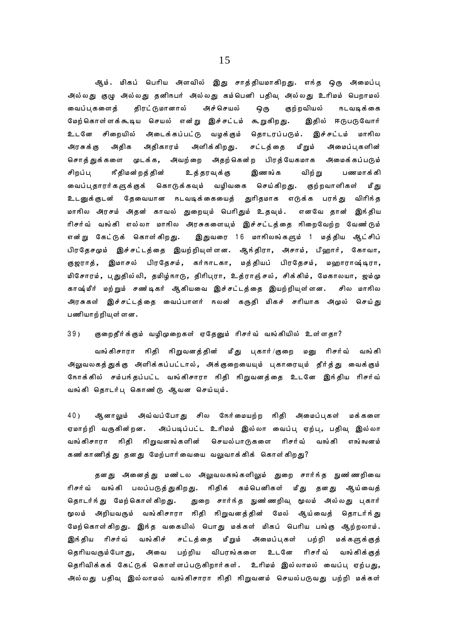ஆம். மிகப் பெரிய அளவில் இது சாத்தியமாகிறது. எந்த ஒரு அமைப்பு அல்லது குழு அல்லது தனிநபர் அல்லது கம்பெனி பதிவு அல்லது உரிமம் பெறாமல் மைப்புகளைத் திரட்டுமானால் அச்செயல் ஒரு குற்றவியல் நடவடிக்கை மேற்கொள்ளக்கூடிய செயல் என்று இச்சட்டம் கூறுகிறது. இதில் ஈடுபடுவோர் உடனே சிறையில் அடைக்கப்பட்டு வழக்கும் தொடரப்படும். இச்சட்டம் மாஙில அரசுக்கு அதிக அதிகாரம் அளிக்கிறது. சட்டத்தை மீறும் அமைப்புகளின் சொத்துக்களை முடக்க, அவற்றை அதற்கென்ற பிரத்யேகமாக அமைக்கப்படும் சிறப்பு நீதிமன்றத்தின் உத்தரவுக்கு இணங்க விற்று பணமாக்கி வைப்புதாரர்களுக்குக் கொடுக்கவும் வழிவகை செய்கிறது. குற்றவாளிகள் மீது உடனுக்குடன் தேவையான நடவடிக்கையைத் துரிதமாக எடுக்க பரந்து விரிந்த மாநில அரசம் அதன் காவல் துறையும் பெரிதும் உதவும். எனவே தான் இந்திய ரிசர்வ் வங்கி எல்லா மாநில அரசுகளையும் இச்சட்டத்தை நிறைவேற்ற வேண**்**டும் என்று கேட்டுக் கொள்கிறது. இதுவரை 16 மாநிலங்களும் 1 மத்திய ஆட்சிப் பிரதேசமும் இச்சட்டத்தை இயற்றியுள்ளன. ஆந்திரா, அசாம், பீஹார், கோவா, குஜராத், இமாசல் பிரதேசம், கர்நாடகா, மத்தியப் பிரதேசம், மஹாராஷ்டிரா, மிசோரம், புதுதில்லி, தமிழ்நாடு, திரிபுரா, உத்ராஞ்சல், சிக்கிம், மேகாலயா, ஜம்மு காஷ்மீர் மற்றும் சண்டிகர் ஆகியவை இச்சட்டத்தை இயற்றியுள்ளன. சில மாநில அரசுகள் இச்சட்டத்தை வைப்பாளர் நலன் கருதி மிகச் சரியாக அமுல் செய்து பணியாற்றிய ள்ளன.

## 39) குறைதீர்க்கும் வழிமுறைகள் ஏதேனும் ரிசர்வ் வங்கியில் உள்ளதா?

வங்கிசாரா நிதி நிறுவனத்தின் மீது பகார்/குறை மனு ரிசர்வ் வங்கி அலுவலகத்துக்கு அளிக்கப்பட்டால், அக்குறையையும் புகாரையும் தீர்த்து வைக்கும் ோக்கில் சம்பந்தப்பட்ட வங்கிசாரா நிதி நிறுவனத்தை உடனே இந்திய ரிசர்வ் வங்கி தொடர்பு கொணர்டு ஆவன செய்யும்.

40) ஆனாலும் அவ்வப்போது சில நேர்மையற்ற நிதி அமைப்புகள் மக்களை ஏமாற்றி வருகின்றன. அப்படிப்பட்ட உரிமம் இல்லா வைப்பு ஏற்பு, பதிவு இல்லா வங்கிசாரா நிதி நிறுவனங்களின் செயல்பாடுகளை ரிசர்வ் வங்கி எங்ஙனம் கண்காணித்து தனது மேற்பார்வையை வலுவாக்கிக் கொள்கிறது?

தனது அனைத்து மணர்டல அலுவலகங்களிலும் துறை சார்ந்த நுணர்ணறிவை ரிசர்வ் வங்கி பலப்படுத்துகிறது. நிதிக் கம்பெனிகள் மீது தனது ஆய்வைத் தொடர்ந்து மேற்கொள்கிறது. துறை சார்ந்த நுண'ணறிவ மூலம் அல்லது புகார் மூலம் அறியவரும் வங்கிசாரா நிதி நிறுவனத்தின் மேல் ஆய்வைத் தொடர்ந்து மேற்கொள்கிறது. இந்த வகையில் பொது மக்கள் மிகப் பெரிய பங்கு ஆற்றலாம். இங்திய ரிசர்வ் வங்கிச் சட்டத்தை மீறும் அமைப்புகள் பற்றி மக்களுக்குத் தெரியவரும்போது, அவை பற்றிய விபரங்களை உடனே ரிசர்வ் வங்கிக்குத் தெரிவிக்கக் கேட்டுக் கொள்ளப்படுகிறார்கள். உரிமம் இல்லாமல் வைப்பு ஏற்பது, அல்லது பதிவு இல்லாமல் வங்கிசாரா நிதி நிறுவனம் செயல்படுவது பற்றி மக்கள்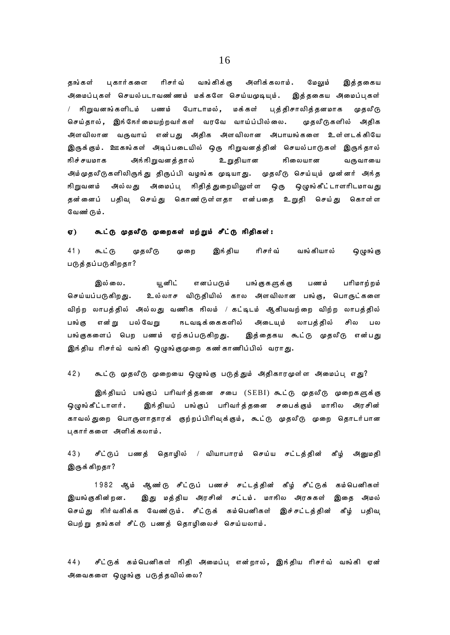பகார்களை ரிசர்வ் வங்கிக்கு அளிக்கலாம். தங்கள் மேலும் இத்தகைய அமைப்புகள் செயல்படாவண ்ணம் மக்களே செய்யமுடியும். இத்தகைய அமைப்புகள் / நிறுவனங்களிடம் பணம் போடாமல், மக்கள் புத்திசாலித்தனமாக முதலீடு செய்தால், இந்நேர்மையற்றவர்கள் வரவே வாய்ப்பில்லை. முதலீடுகளில் அதிக அளவிலான வருவாய் என்பது அதிக அளவிலான அபாயங்களை உள்ளடக்கியே இருக்கும். ஊகங்கள் அடிப்படையில் ஒரு நிறுவனத்தின் செயல்பாடுகள் இருந்தால் நிச் சயமாக அங்ஙிறுவனத்தால் உறுதியான **நிலையான** வருவாயை அம்முதலீடுகளிலிருந்து திருப்பி வழங்க முடியாது. முதலீடு செய்யும் முன்னர் அந்த நிறுவன**ம்** அல்லது அமைப்பு நிதித்துறையிலுள்ள ஒரு ஒழுங்கீட்டாளரிடமாவது தன்னைப் பதிவு செய்து கொணர்டுள்ளதா என்பதை உறுதி செய்து கொள்ள வேண்டும்.

### கூட்டு முதலீடு முறைகள் மற்றும் சீட்டு நிதிகள்: ஏ)

 $41)$ ௬ட்டு முதலீடு முறை இந் திய ரிசர்வ் வங்கியால் **ஒழுங்** கு படுத்தப்படுகிறதா?

இல்லை. யூனிட் எனப்படும் பங்குகளுக்கு பணம் பரிமாற்றம் உல்லாச விடுதியில் கால அளவிலான பங்கு, பொருட்களை செய்யப்படுகிறது. விற்ற லாபத்தில் அல்லது வணிக நிலம் / கட்டிடம் ஆகியவற்றை விற்ற லாபத்தில் என்று பல்வேறு நடவடிக்கைகளில் அடையும் லாபத்தில் பங்கு சில பல பங்குகளைப் பெற பணம் ஏற்கப்படுகிறது. இத்தைகய கூட்டு முதலீடு என்பது இந்திய ரிசர்வ் வங்கி ஒழுங்குமுறை கண்காணிப்பில் வராது.

### 42) கூட்டு முதலீடு முறையை ஒழுங்கு படுத்தும் அதிகாரமுள்ள அமைப்பு எது?

இங்தியப் பங்குப் பரிவர்த்தனை சபை (SEBI) கூட்டு முதலீடு முறைகளுக்கு இந்தியப் பங்குப் பரிவர்த்தனை சபைக்கும் மாநில அரசின் ஒழுங்கீட்டாளர். காவல்துறை பொருளாதாரக் குற்றப்பிரிவுக்கும், கூட்டு முதலீடு முறை தொடர்பான புகார்களை அளிக்கலாம்.

43) சீட்டுப் பணத் தொழில் / வியாபாரம் செய்ய சட்டத்தின் கீழ் அனுமதி இருக்கிறதா?

1982 ஆம் ஆண்டு சீட்டுப் பணச் சட்டத்தின் கீழ் சீட்டுக் கம்பெனிகள் இயங்குகின்றன. இது மத்திய அரசின் சட்டம். மாநில அரசுகள் இதை அமல் செய்து நிர்வகிக்க வேணர்டும். சீட்டுக் கம்பெனிகள் இச்சட்டத்தின் கீழ் பதிவு பெற்று தங்கள் சீட்டு பணத் தொழிலைச் செய்யலாம்.

சீட்டுக் கம்பெனிகள் நிதி அமைப்பு என்றால், இந்திய ரிசர்வ் வங்கி ஏன் 44) அவைகளை ஒழுங்கு படுத்தவில்லை?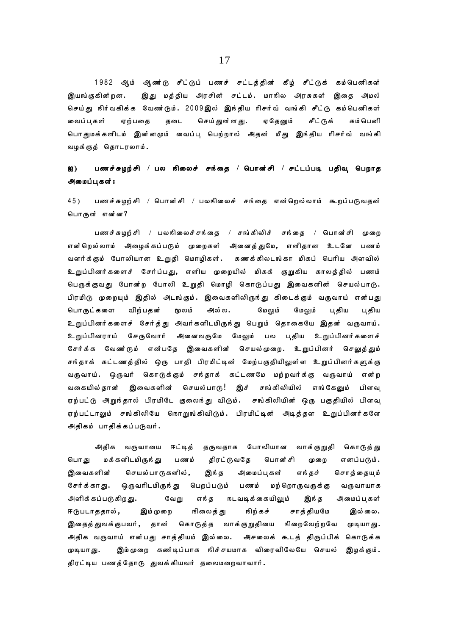1982 ஆம் ஆண்டு சீட்டுப் பணச் சட்டத்தின் கீழ் சீட்டுக் கம்பெனிகள் இயங்குகின்றன. இது மத்திய அரசின் சட்டம். மாநில அரசுகள் இதை அமல் செய்து நிர்வகிக்க வேண்டும். 2009இல் இந்திய ரிசர்வ் வங்கி சீட்டு கம்பெனிகள் வைப்புகள் ஏற்பதை தடை செய்துள்ளது. ஏதேனும் சீட்டுக் கம்பெனி பொதுமக்களிடம் இன்னமும் வைப்பு பெற்றால் அதன் மீது இந்திய ரிசர்வ் வங்கி வழக்குத் தொடரலாம்.

# ஐ) பணச்சுழற்சி / பல நிலைச் சந்தை / பொன்சி / சட்டப்படி பதிவு பெறாத அமைப்புகள் :

45) பணச்சுழற்சி / பொன்சி / பலஙிலைச் சங்தை என்றெல்லாம் கூறப்படுவதன் பொருள் என்ன?

பணச்சுழற்சி / பலஙிலைச்சங்தை / சங்கிலிச் சங்தை / பொன்சி முறை என்றெல்லாம் அமைுக்கப்படும் முறைகள் அனைத்துமே, எளிதான உடனே பணம் வளர்க்கும் போலியான உறுதி மொழிகள். கணக்கிலடங்கா மிகப் பெரிய அளவில் உறுப்பினர்களைச் சேர்ப்பது, எளிய முறையில் மிகக் குறுகிய காலத்தில் பணம் பெருக்குவது போன்ற போலி உறுதி மொழி கொடுப்பது இவைகளின் செயல்பாடு. பிரமிடு முறையும் இதில் அடங்கும். இவைகளிலிருந்து கிடைக்கும் வருவாய் என்பது பொருட்களை விற்பதன் மூலம் அல்ல. மேலும் மேலும் பதிய பதிய உறுப்பினர்களைச் சேர்த்து அவர்களிடமிருந்து பெறும் தொகையே இதன் வருவாய். உறுப்பினராய் சேருவோர் அனைவருமே மேலும் பல புதிய உறுப்பினர்களைச் சேர்க்க வேணர்டும் என்பதே இவைகளின் செயல்முறை. உறுப்பினர் செலுத்தும் சுந்தாக் கட்டணத்தில் ஒரு பாதி பிரமிட்டின் மேற்பகுதியிலுள்ள உறுப்பினர்களுக்கு வருவாய். ஒருவர் கொடுக்கும் சந்தாக் கட்டணமே மற்றவர்க்கு வருவாய் என்ற வகையில்தான் இவைகளின் செயல்பாடு! இச் சங்கிலியில் எங்கேனும் பிளவு ஏற்பட்டு அறுந்தால் பிரமிடே குலைந்து விடும். சங்கிலியின் ஒரு பகுதியில் பிளவு ஏற்பட்டாலும் சங்கிலியே கொறுங்கிவிடும். பிரமிட்டின் அடித்தள உறுப்பினர்களே அதிகம் பாதிக்கப்படுவர்.

அதிக வருவாயை ஈட்டித் தருவதாக போலியான வாக்குறுதி கொடுத்து பொது மக்களிடமிருந்து பணம் திரட்டுவதே பொன்சி முறை எனப்படும். இவைகளின் செயல்பாடுகளில், இந்த அமைப்புகள் எந்தச் சொத்தையும் சேர்க்காது. ஒருவரிடமிருந்து பெறப்படும் பணம் மற்றொருவருக்கு வருவாயாக அளிக்கப்படுகிறது. மேறு எந்த நடவடிக்கையிலும் இந்த அமைப்புகள் ஈடுபடாததால், இம்முறை நிலைத்து நிற்கச் சாத்தியமே இல்லை. இதைத்துவக்குபவர், தான் கொடுத்த வாக்குறுதியை நிறைவேற்றவே முடியாது. அதிக வருவாய் என்பது சாத்தியம் இல்லை. அசலைக் கூடத் திருப்பிக் கொடுக்க முடியாது. இம்முறை கண்டிப்பாக நிச்சயமாக விரைவிலேயே செயல் இழக்கும். திரட்டிய பணத்தோடு துவக்கியவர் தலைமறைவாவார்.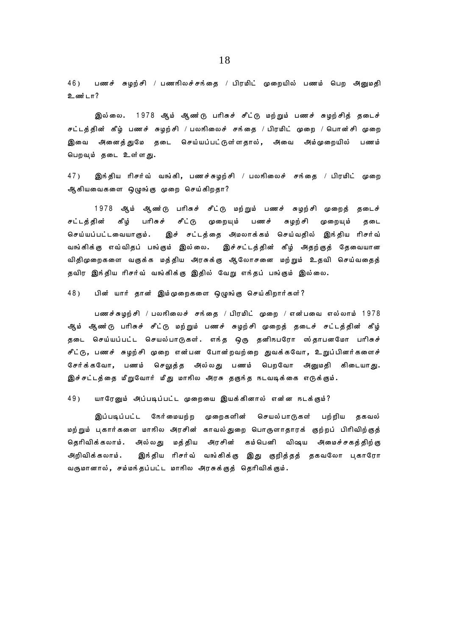46) பணச் சுழற்சி / பணஙிலச்சங்தை / பிரமிட் முறையில் பணம் பெற அனுமதி  $2\omega$ ன்டா?

இல்லை. 1978 ஆம் ஆண்டு பரிசுச் சீட்டு மற்றும் பணச் சுழற்சித் தடைச் சட்டத்தின் கீழ் பணச் சுழற்சி / பலஙிலைச் சங்தை / பிரமிட் முறை / பொன்சி முறை இவை அனைத்துமே தடை செய்யப்பட்டுள்ளதால், அவை அம்முறையில் பணம் பெறவும் தடை உள்ளது.

 $47$ ) இங்திய ரிசர்வ் வங்கி, பணச்சுழற்சி / பலஙிலைச் சங்தை / பிரமிட் முறை ஆகியவைகளை ஒழுங்கு முறை செய்கிறதா?

1978 ஆம் ஆண்டு பரிசுச் சீட்டு மற்றும் பணச் சுழற்சி முறைத் தடைச் சட்டத்தின் கீழ் பரிசுச் சீட்டு முறையும் பணச் சுழற்சி முறையும் தடை செய்யப்பட்டவையாகும். இச் சட்டத்தை அமலாக்கம் செய்வதில் இந்திய ரிசர்வ் வங்கிக்கு எவ்விதப் பங்கும் இல்லை. இச்சட்டத்தின் கீழ் அதற்குத் தேவையான விதிமுறைகளை வகுக்க மத்திய அரசுக்கு ஆலோசனை மற்றும் உதவி செய்வதைத் தவிர இந்திய ரிசர்வ் வங்கிக்கு இதில் வேறு எந்தப் பங்கும் இல்லை.

48) பின் யார் தான் இம்முறைகளை ஒழுங்கு செய்கிறார்கள்?

பணச்சுழற்சி / பலநிலைச் சந்தை / பிரமிட் முறை / என்பவை எல்லாம் 1978 ஆம் ஆண**்**டு பரிசுச் சீட்டு மற்றும் பணச் சுழற்சி முறைத் தடைச் சட்டத்தின் கீழ் தடை செய்யப்பட்ட செயல்பாடுகள். எந்த ஒரு தனிநபரோ ஸ்தாபனமோ பரிசுச் சீட்டு, பணச் சுழற்சி முறை என்பன போன்றவற்றை துவக்கவோ, உறுப்பினர்களைச் சேர்க்கவோ, பணம் செலுத்த அல்லது பணம் பெறவோ அனுமதி கிடையாது. இச்சட்டத்தை மீறுவோர் மீது மாநில அரசு தகுந்த நடவடிக்கை எடுக்கும்.

49) யாரேனும் அப்படிப்பட்ட முறையை இயக்கினால் என்ன நடக்கும்?

இப்படிப்பட்ட கேர்மையற்ற முறைகளின் செயல்பாடுகள் பற்றிய தகவல் மற்றும் புகார்களை மாநில அரசின் காவல்துறை பொருளாதாரக் குற்றப் பிரிவிற்குத் தெரிவிக்கலாம். அல்லது மத்திய அரசின் கம்பெனி விஷய அமைச்சகத்திற்கு அறிவிக்கலாம். இந்திய ரிசர்வ் வங்கிக்கு இது குறித்தத் தகவலோ புகாரோ வருமானால், சம்மந்தப்பட்ட மாநில அரசுக்குத் தெரிவிக்கும்.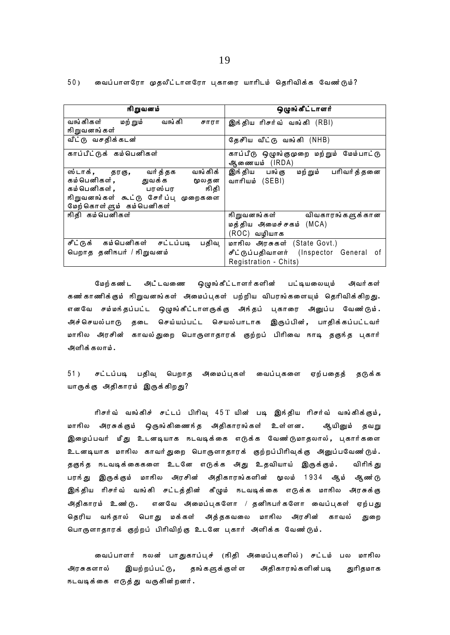வைப்பாளரோ முதலீட்டாளரோ பகாரை யாரிடம் தெரிவிக்க வேண ்டும்?  $50)$ 

| நிறுவனம்                                                                                                                                               | ஒழுங்கீட்டாளர்                                                                                 |
|--------------------------------------------------------------------------------------------------------------------------------------------------------|------------------------------------------------------------------------------------------------|
| வங்கி சாரா<br>வங்கிகள் மற்றும்<br>நிறுவனங்கள்                                                                                                          | இந்திய ரிசர்வ் வங்கி (RBI)                                                                     |
| வீட்டு வசதிக்கடன்                                                                                                                                      | தேசீிய வீட்டு வங்கி (NHB)                                                                      |
| காப்பீட்டுக் கம்பெனிகள்                                                                                                                                | காப்பீடு ஒழுங்குமுறை மற்றும் மேம்பாட்டு<br>ஆணையம் (IRDA)                                       |
| ஸ்டாக், தரகு, வர்த்தக வங்கிக்<br>கம்பெனிகள், துவக்க மூலதன<br>கம்பெனிகள், பரஸ்பர நிதி<br>நிறுவனங்கள் கூட்டு சேரீப்பு முறைகளை<br>மேற்கொள்ளும் கம்பெனிகள் | இந்திய பங்கு மற்றும் பரிவர்த்தனை<br>வாரியம் (SEBI)                                             |
| நிதி கம்பெனிகள்                                                                                                                                        | நிறுவனங்கள் விவகாரங்களுக்கான<br>மத்திய அமைச்சகம் (MCA)<br>(ROC) வழியாக                         |
| சீட்டுக் கம்பெனிகள் சட்டப்படி<br>பதிவு<br>பெறாத தனிநபர் / நிறுவனம்                                                                                     | மாநில அரசுகள் (State Govt.)<br>சீட்டுப்பதிவாளர் (Inspector General of<br>Registration - Chits) |

மேற்கணர்ட அடீ்டவணை ஒழுங்கீட்டாளர்களின் பட்டியலையும் அவர்கள் கண்காணிக்கும் நிறுவனங்கள் அமைப்புகள் பற்றிய விபரங்களையும் தெரிவிக்கிறது. எனவே சம்மந்தப்பட்ட ஒழுங்கீட்டாளருக்கு அந்தப் புகாரை அனுப்ப வேணர்டும். அச்செயல்பாடு தடை செய்யப்பட்ட செயல்பாடாக இருப்பின், பாதிக்கப்பட்டவர் மாநில அரசின் காவல்துறை பொருளாதாரக் குற்றப் பிரிவை நாடி தகுந்த புகார் அளிக்கலாம்.

 $51)$ சட்டப்படி பதிவு பெறாத அமைப்புகள் வைப்புகளை ஏற்பதைத் தடுக்க யாருக்கு அதிகாரம் இருக்கிறது?

ரிசர்வ் வங்கிச் சட்டப் பிரிவு 45T யின் படி இந்திய ரிசர்வ் வங்கிக்கும்**,** மாநில அரசுக்கும் ஒருங்கிணைந்த அதிகாரங்கள் உள்ளன. ஆயினும் தவறு இழைப்பவர் மீது உடனடியாக ஈடவடிக்கை எடுக்க வேண்டுமாதலால், புகார்களை உடனடியாக மாநில காவர்துறை பொருளாதாரக் குற்றப்பிரிவுக்கு அனுப்பவேண்டும். தகுந்த நடவடிக்கைகளை உடனே எடுக்க அது உதவியாய் இருக்கும். விரிந் து பரங்து இருக்கும் மாநில அரசின் அதிகாரங்களின் மூலம் 1934 ஆம் ஆண்டு இந்திய ரிசர்வ் வங்கி சட்டத்தின் கீழும் நடவடிக்கை எடுக்க மாநில அரசுக்கு எனவே அமைப்புகளோ / தனிநபர்களோ வைப்புகள் ஏற்பது அதிகாரம் உண்டு. தெரிய வந்தால் பொது மக்கள் அத்தகவலை மாநில அரசின் காவல் துறை பொருளாதாரக் குற்றப் பிரிவிற்கு உடனே புகார் அளிக்க வேண்டும்.

வைப்பாளர் நலன் பாதுகாப்புச் (நிதி அமைப்புகளில்) சட்டம் பல மாநில அரசுகளால் இயற்றப்பட்டு, தங்களுக்குள்ள அதிகாரங்களின்படி துரிதமாக நடவடிக்கை எடுத்து வருகின்றனர்.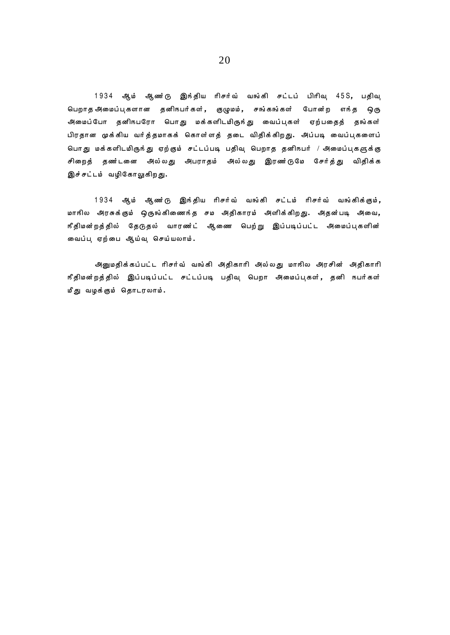1934 ஆம் ஆண $\tilde{c}$  இந்திய ரிசர்வ் வங்கி சட்டப் பிரிவு 45S, பதிவு பெறாதஅமைப்புகளான தனிநபர்கள், குழுமம், சங்கங்கள் போன்ற எந்த ஒரு அமைப்போ தனிநபரோ பொது மக்களிடமிருந்து வைப்புகள் ஏற்பதைத் தங்கள் பிரதான முக்கிய வர்த்தமாகக் கொள்ளத் தடை விதிக்கிறது. அப்படி வைப்புகளைப் பொது மக்களிடமிருந்து ஏற்கும் சட்டப்படி பதிவு பெறாத தனிநபர் / அமைப்புகளுக்கு சிறைத் தணர்டனை அல்லது அபராதம் அல்லது இரணர்டுமே சேர்த்து விதிக்க இச்சட்டம் வழிகோலுகிறது.

1934 ஆம் ஆண $\dot{6}$  இந்திய ரிசர்வ் வங்கி சட்டம் ரிசர்வ் வங்கிக்கும், மாநில அரசுக்கும் ஒருங்கிணைந்த சம அதிகாரம் அளிக்கிறது. அதன்படி அவை, ரீதிமன்றத்தில் தேடுதல் வாரண**்**ட் ஆணை பெற்று இப்படிப்பட்ட அமைப்புகளின் வைப்பு ஏற்பை ஆய்வு செய்யலாம்.

அனுமதிக்கப்பட்ட ரிசர்வ் வங்கி அதிகாரி அல்லது மாநில அரசின் அதிகாரி ரீதிமன்றத்தில் இப்படிப்பட்ட சட்டப்படி பதிவு பெறா அமைப்புகள், தனி நபர்கள் மீது வழக்கும் தொடரலாம்.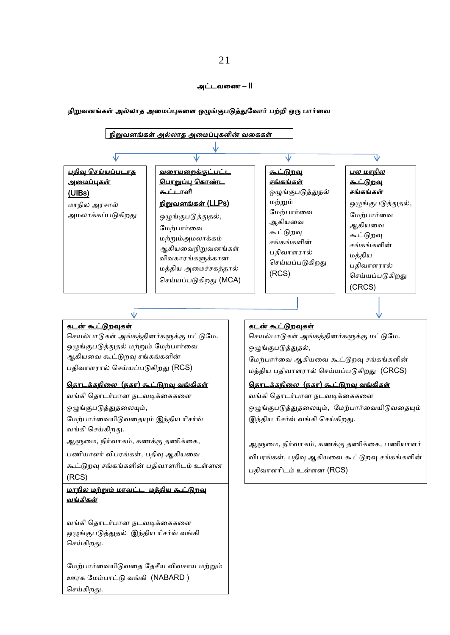### அட்டவணை – II

## நிறுவனங்கள் அல்லாத அணைப்புகணை ஒழுங்குபடுத்துவவார் பற்றி ஒரு பார்ணவ



ஆளுமை, நிர்வாகம், கணக்கு தணிக்கை, பைியாைர் விபரங்கள், பதிவு ஆகியணவ

கூட்டுறவு சங்கங்களின் பதிவாளரிடம் உள்ளன (RCS)

# <u>மாநில மற்றும் மாவட்ட மத்திய கூட்டுறவு</u> வங்கிகள்

வங்கி சதாடர்பான நடவடிக்ணககணை ஒழுங்குபடுத்துதல் இந்திய ரிசர்வ் வங்கி செய்கிறது.

வைற்பார்ணவயிடுவணத வதெீய விவொய ைற்றும் ஊரக வைம்பாட்டு வங்கி (NABARD ) செய்கிறது.

# ஆளுணை, நிர்வாகம், கைக்கு தைிக்ணக, பைியாைர் விபரங்கள், பதிவு ஆகியவை கூட்டுறவு சங்கங்களின் பதிவாைாிடம் உள்ைன (RCS)